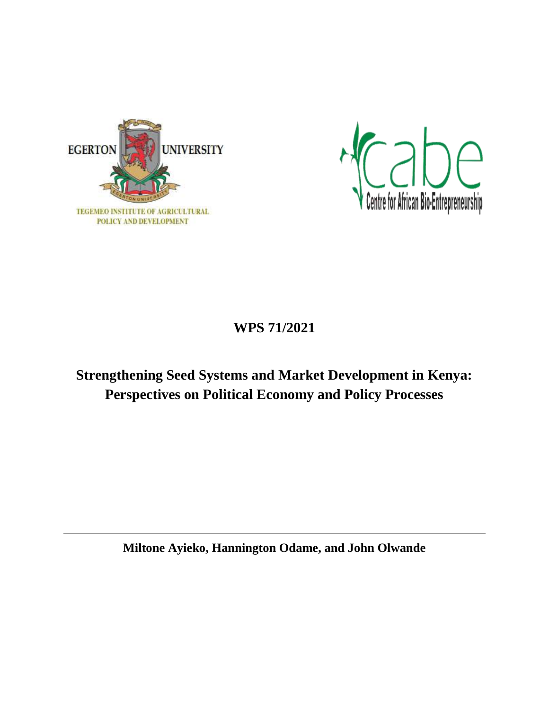



# **WPS 71/2021**

# **Strengthening Seed Systems and Market Development in Kenya: Perspectives on Political Economy and Policy Processes**

**Miltone Ayieko, Hannington Odame, and John Olwande**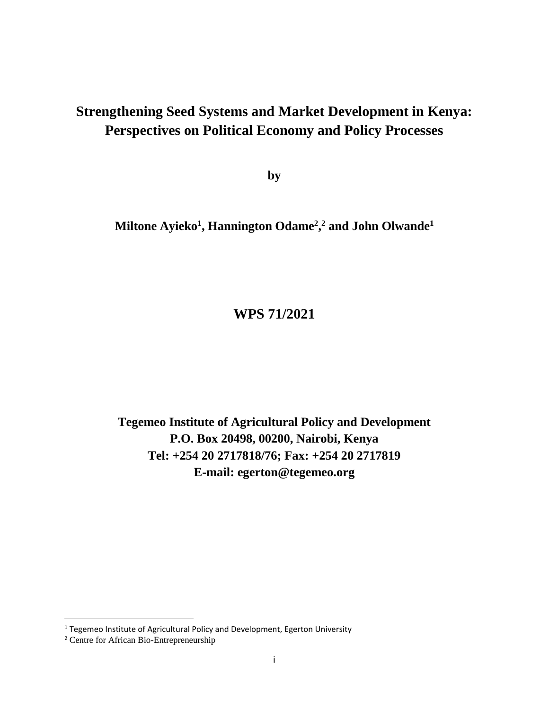# **Strengthening Seed Systems and Market Development in Kenya: Perspectives on Political Economy and Policy Processes**

**by**

**Miltone Ayieko<sup>1</sup> , Hannington Odame<sup>2</sup> , <sup>2</sup> and John Olwande<sup>1</sup>**

# **WPS 71/2021**

**Tegemeo Institute of Agricultural Policy and Development P.O. Box 20498, 00200, Nairobi, Kenya Tel: +254 20 2717818/76; Fax: +254 20 2717819 E-mail: egerton@tegemeo.org**

l

<sup>&</sup>lt;sup>1</sup> Tegemeo Institute of Agricultural Policy and Development, Egerton University

<sup>2</sup> Centre for African Bio-Entrepreneurship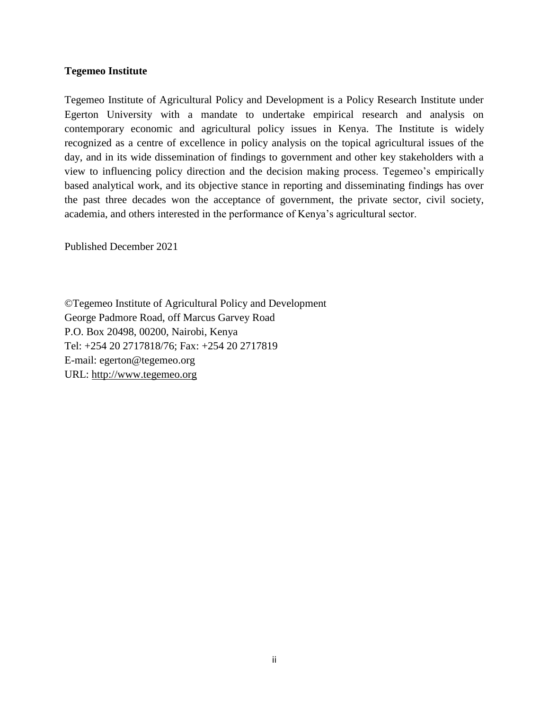#### **Tegemeo Institute**

Tegemeo Institute of Agricultural Policy and Development is a Policy Research Institute under Egerton University with a mandate to undertake empirical research and analysis on contemporary economic and agricultural policy issues in Kenya. The Institute is widely recognized as a centre of excellence in policy analysis on the topical agricultural issues of the day, and in its wide dissemination of findings to government and other key stakeholders with a view to influencing policy direction and the decision making process. Tegemeo's empirically based analytical work, and its objective stance in reporting and disseminating findings has over the past three decades won the acceptance of government, the private sector, civil society, academia, and others interested in the performance of Kenya's agricultural sector.

Published December 2021

©Tegemeo Institute of Agricultural Policy and Development George Padmore Road, off Marcus Garvey Road P.O. Box 20498, 00200, Nairobi, Kenya Tel: +254 20 2717818/76; Fax: +254 20 2717819 E-mail: egerton@tegemeo.org URL: [http://www.tegemeo.org](http://www.tegemeo.org/)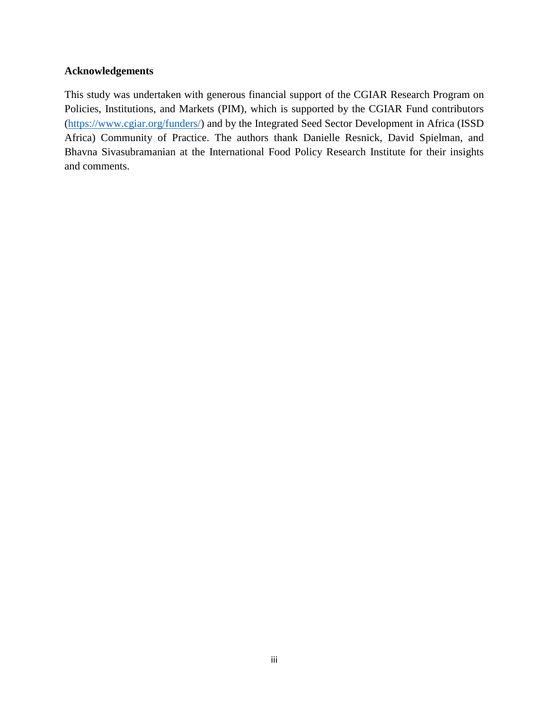## **Acknowledgements**

This study was undertaken with generous financial support of the CGIAR Research Program on Policies, Institutions, and Markets (PIM), which is supported by the CGIAR Fund contributors [\(https://www.cgiar.org/funders/\)](https://www.cgiar.org/funders/) and by the Integrated Seed Sector Development in Africa (ISSD Africa) Community of Practice. The authors thank Danielle Resnick, David Spielman, and Bhavna Sivasubramanian at the International Food Policy Research Institute for their insights and comments.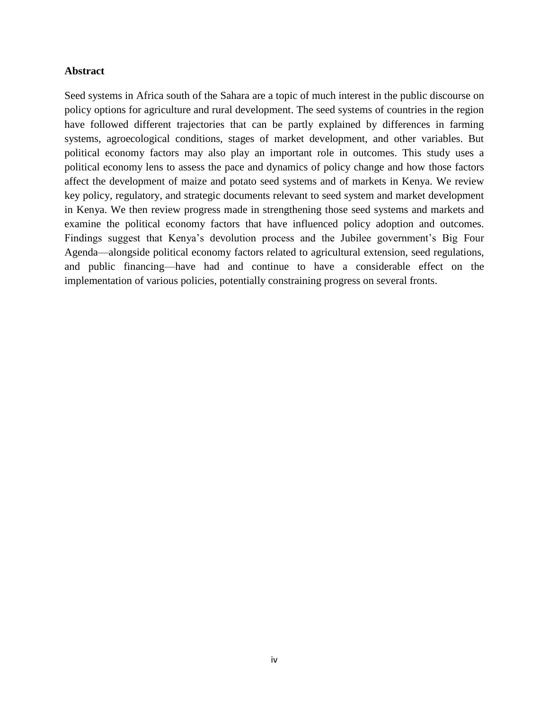#### <span id="page-4-0"></span>**Abstract**

Seed systems in Africa south of the Sahara are a topic of much interest in the public discourse on policy options for agriculture and rural development. The seed systems of countries in the region have followed different trajectories that can be partly explained by differences in farming systems, agroecological conditions, stages of market development, and other variables. But political economy factors may also play an important role in outcomes. This study uses a political economy lens to assess the pace and dynamics of policy change and how those factors affect the development of maize and potato seed systems and of markets in Kenya. We review key policy, regulatory, and strategic documents relevant to seed system and market development in Kenya. We then review progress made in strengthening those seed systems and markets and examine the political economy factors that have influenced policy adoption and outcomes. Findings suggest that Kenya's devolution process and the Jubilee government's Big Four Agenda—alongside political economy factors related to agricultural extension, seed regulations, and public financing—have had and continue to have a considerable effect on the implementation of various policies, potentially constraining progress on several fronts.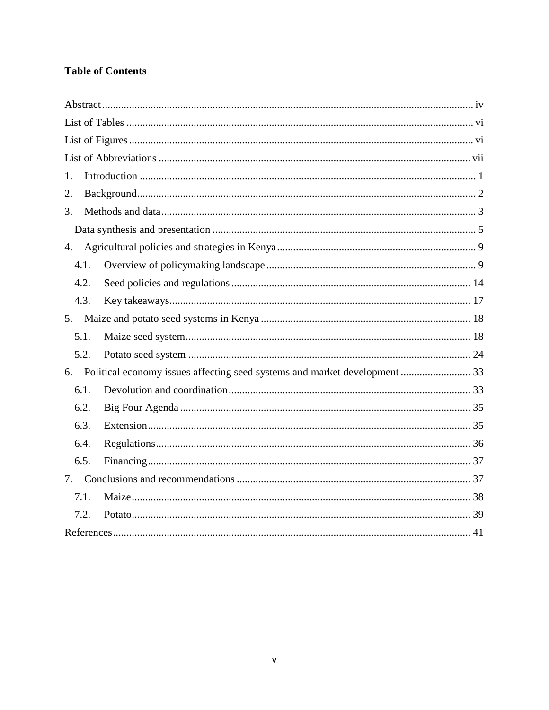# **Table of Contents**

| 1.   |  |
|------|--|
| 2.   |  |
| 3.   |  |
|      |  |
| 4.   |  |
| 4.1. |  |
| 4.2. |  |
| 4.3. |  |
|      |  |
| 5.1. |  |
| 5.2. |  |
|      |  |
| 6.1. |  |
| 6.2. |  |
| 6.3. |  |
| 6.4. |  |
| 6.5. |  |
|      |  |
| 7.1. |  |
| 7.2. |  |
|      |  |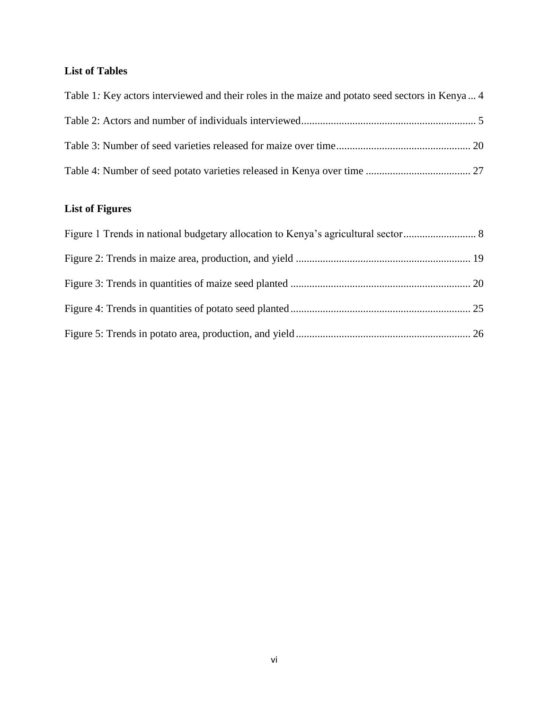# <span id="page-6-0"></span>**List of Tables**

| Table 1: Key actors interviewed and their roles in the maize and potato seed sectors in Kenya 4 |  |
|-------------------------------------------------------------------------------------------------|--|
|                                                                                                 |  |
|                                                                                                 |  |
|                                                                                                 |  |

# <span id="page-6-1"></span>**List of Figures**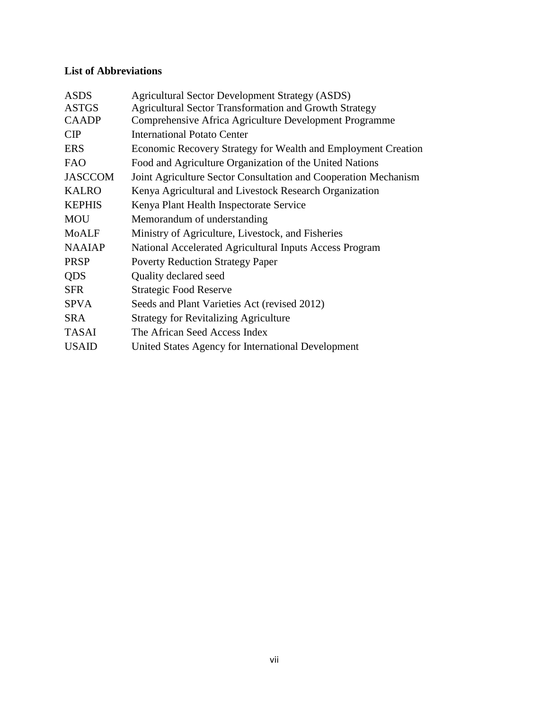# <span id="page-7-0"></span>**List of Abbreviations**

| <b>Agricultural Sector Development Strategy (ASDS)</b>          |
|-----------------------------------------------------------------|
| <b>Agricultural Sector Transformation and Growth Strategy</b>   |
| Comprehensive Africa Agriculture Development Programme          |
| <b>International Potato Center</b>                              |
| Economic Recovery Strategy for Wealth and Employment Creation   |
| Food and Agriculture Organization of the United Nations         |
| Joint Agriculture Sector Consultation and Cooperation Mechanism |
| Kenya Agricultural and Livestock Research Organization          |
| Kenya Plant Health Inspectorate Service                         |
| Memorandum of understanding                                     |
| Ministry of Agriculture, Livestock, and Fisheries               |
| National Accelerated Agricultural Inputs Access Program         |
| <b>Poverty Reduction Strategy Paper</b>                         |
| Quality declared seed                                           |
| <b>Strategic Food Reserve</b>                                   |
| Seeds and Plant Varieties Act (revised 2012)                    |
| <b>Strategy for Revitalizing Agriculture</b>                    |
| The African Seed Access Index                                   |
| United States Agency for International Development              |
|                                                                 |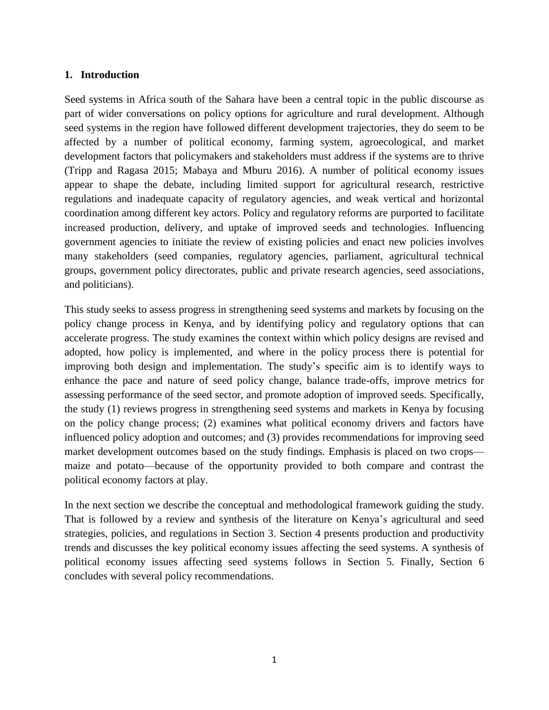## <span id="page-8-0"></span>**1. Introduction**

Seed systems in Africa south of the Sahara have been a central topic in the public discourse as part of wider conversations on policy options for agriculture and rural development. Although seed systems in the region have followed different development trajectories, they do seem to be affected by a number of political economy, farming system, agroecological, and market development factors that policymakers and stakeholders must address if the systems are to thrive (Tripp and Ragasa 2015; Mabaya and Mburu 2016). A number of political economy issues appear to shape the debate, including limited support for agricultural research, restrictive regulations and inadequate capacity of regulatory agencies, and weak vertical and horizontal coordination among different key actors. Policy and regulatory reforms are purported to facilitate increased production, delivery, and uptake of improved seeds and technologies. Influencing government agencies to initiate the review of existing policies and enact new policies involves many stakeholders (seed companies, regulatory agencies, parliament, agricultural technical groups, government policy directorates, public and private research agencies, seed associations, and politicians).

This study seeks to assess progress in strengthening seed systems and markets by focusing on the policy change process in Kenya, and by identifying policy and regulatory options that can accelerate progress. The study examines the context within which policy designs are revised and adopted, how policy is implemented, and where in the policy process there is potential for improving both design and implementation. The study's specific aim is to identify ways to enhance the pace and nature of seed policy change, balance trade-offs, improve metrics for assessing performance of the seed sector, and promote adoption of improved seeds. Specifically, the study (1) reviews progress in strengthening seed systems and markets in Kenya by focusing on the policy change process; (2) examines what political economy drivers and factors have influenced policy adoption and outcomes; and (3) provides recommendations for improving seed market development outcomes based on the study findings. Emphasis is placed on two crops maize and potato—because of the opportunity provided to both compare and contrast the political economy factors at play.

In the next section we describe the conceptual and methodological framework guiding the study. That is followed by a review and synthesis of the literature on Kenya's agricultural and seed strategies, policies, and regulations in Section 3. Section 4 presents production and productivity trends and discusses the key political economy issues affecting the seed systems. A synthesis of political economy issues affecting seed systems follows in Section 5. Finally, Section 6 concludes with several policy recommendations.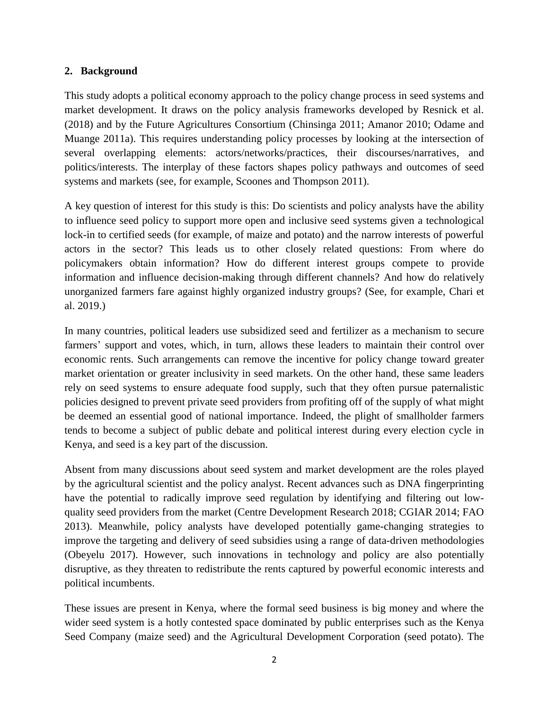# <span id="page-9-0"></span>**2. Background**

This study adopts a political economy approach to the policy change process in seed systems and market development. It draws on the policy analysis frameworks developed by Resnick et al. (2018) and by the Future Agricultures Consortium (Chinsinga 2011; Amanor 2010; Odame and Muange 2011a). This requires understanding policy processes by looking at the intersection of several overlapping elements: actors/networks/practices, their discourses/narratives, and politics/interests. The interplay of these factors shapes policy pathways and outcomes of seed systems and markets (see, for example, Scoones and Thompson 2011).

A key question of interest for this study is this: Do scientists and policy analysts have the ability to influence seed policy to support more open and inclusive seed systems given a technological lock-in to certified seeds (for example, of maize and potato) and the narrow interests of powerful actors in the sector? This leads us to other closely related questions: From where do policymakers obtain information? How do different interest groups compete to provide information and influence decision-making through different channels? And how do relatively unorganized farmers fare against highly organized industry groups? (See, for example, Chari et al. 2019.)

In many countries, political leaders use subsidized seed and fertilizer as a mechanism to secure farmers' support and votes, which, in turn, allows these leaders to maintain their control over economic rents. Such arrangements can remove the incentive for policy change toward greater market orientation or greater inclusivity in seed markets. On the other hand, these same leaders rely on seed systems to ensure adequate food supply, such that they often pursue paternalistic policies designed to prevent private seed providers from profiting off of the supply of what might be deemed an essential good of national importance. Indeed, the plight of smallholder farmers tends to become a subject of public debate and political interest during every election cycle in Kenya, and seed is a key part of the discussion.

Absent from many discussions about seed system and market development are the roles played by the agricultural scientist and the policy analyst. Recent advances such as DNA fingerprinting have the potential to radically improve seed regulation by identifying and filtering out lowquality seed providers from the market (Centre Development Research 2018; CGIAR 2014; FAO 2013). Meanwhile, policy analysts have developed potentially game-changing strategies to improve the targeting and delivery of seed subsidies using a range of data-driven methodologies (Obeyelu 2017). However, such innovations in technology and policy are also potentially disruptive, as they threaten to redistribute the rents captured by powerful economic interests and political incumbents.

These issues are present in Kenya, where the formal seed business is big money and where the wider seed system is a hotly contested space dominated by public enterprises such as the Kenya Seed Company (maize seed) and the Agricultural Development Corporation (seed potato). The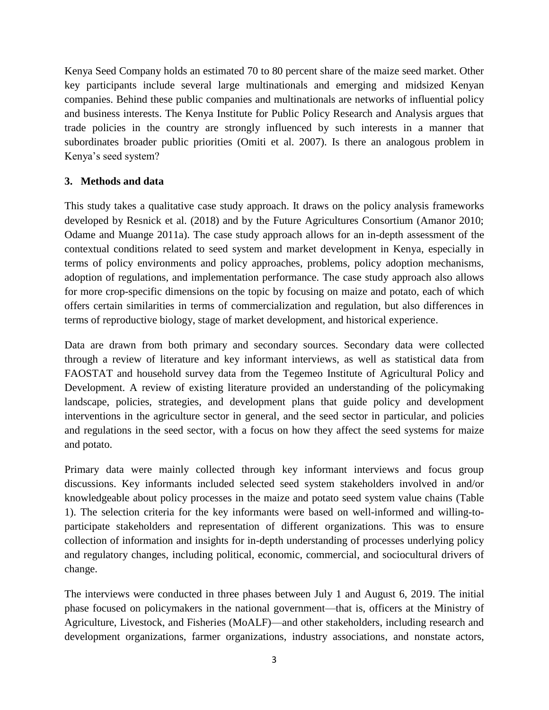Kenya Seed Company holds an estimated 70 to 80 percent share of the maize seed market. Other key participants include several large multinationals and emerging and midsized Kenyan companies. Behind these public companies and multinationals are networks of influential policy and business interests. The Kenya Institute for Public Policy Research and Analysis argues that trade policies in the country are strongly influenced by such interests in a manner that subordinates broader public priorities (Omiti et al. 2007). Is there an analogous problem in Kenya's seed system?

## <span id="page-10-0"></span>**3. Methods and data**

This study takes a qualitative case study approach. It draws on the policy analysis frameworks developed by Resnick et al. (2018) and by the Future Agricultures Consortium (Amanor 2010; Odame and Muange 2011a). The case study approach allows for an in-depth assessment of the contextual conditions related to seed system and market development in Kenya, especially in terms of policy environments and policy approaches, problems, policy adoption mechanisms, adoption of regulations, and implementation performance. The case study approach also allows for more crop-specific dimensions on the topic by focusing on maize and potato, each of which offers certain similarities in terms of commercialization and regulation, but also differences in terms of reproductive biology, stage of market development, and historical experience.

Data are drawn from both primary and secondary sources. Secondary data were collected through a review of literature and key informant interviews, as well as statistical data from FAOSTAT and household survey data from the Tegemeo Institute of Agricultural Policy and Development. A review of existing literature provided an understanding of the policymaking landscape, policies, strategies, and development plans that guide policy and development interventions in the agriculture sector in general, and the seed sector in particular, and policies and regulations in the seed sector, with a focus on how they affect the seed systems for maize and potato.

Primary data were mainly collected through key informant interviews and focus group discussions. Key informants included selected seed system stakeholders involved in and/or knowledgeable about policy processes in the maize and potato seed system value chains (Table 1). The selection criteria for the key informants were based on well-informed and willing-toparticipate stakeholders and representation of different organizations. This was to ensure collection of information and insights for in-depth understanding of processes underlying policy and regulatory changes, including political, economic, commercial, and sociocultural drivers of change.

The interviews were conducted in three phases between July 1 and August 6, 2019. The initial phase focused on policymakers in the national government—that is, officers at the Ministry of Agriculture, Livestock, and Fisheries (MoALF)—and other stakeholders, including research and development organizations, farmer organizations, industry associations, and nonstate actors,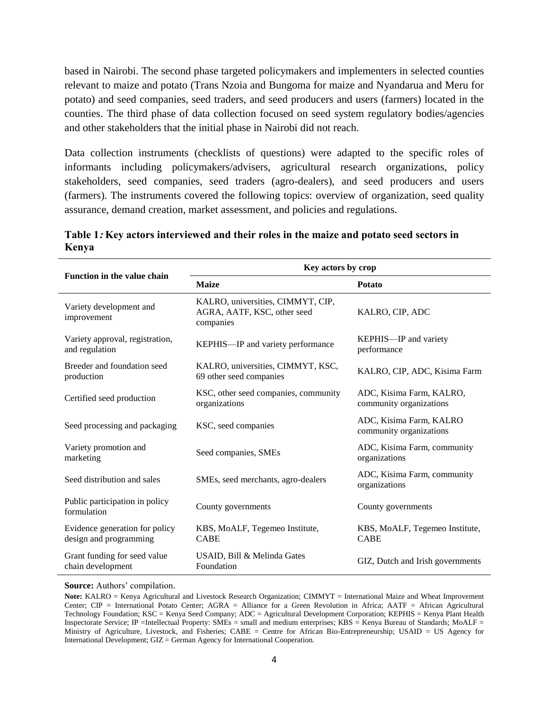based in Nairobi. The second phase targeted policymakers and implementers in selected counties relevant to maize and potato (Trans Nzoia and Bungoma for maize and Nyandarua and Meru for potato) and seed companies, seed traders, and seed producers and users (farmers) located in the counties. The third phase of data collection focused on seed system regulatory bodies/agencies and other stakeholders that the initial phase in Nairobi did not reach.

Data collection instruments (checklists of questions) were adapted to the specific roles of informants including policymakers/advisers, agricultural research organizations, policy stakeholders, seed companies, seed traders (agro-dealers), and seed producers and users (farmers). The instruments covered the following topics: overview of organization, seed quality assurance, demand creation, market assessment, and policies and regulations.

|                                                          | Key actors by crop                                                            |                                                     |  |  |
|----------------------------------------------------------|-------------------------------------------------------------------------------|-----------------------------------------------------|--|--|
| Function in the value chain                              | <b>Maize</b>                                                                  | <b>Potato</b>                                       |  |  |
| Variety development and<br>improvement                   | KALRO, universities, CIMMYT, CIP,<br>AGRA, AATF, KSC, other seed<br>companies | KALRO, CIP, ADC                                     |  |  |
| Variety approval, registration,<br>and regulation        | KEPHIS-IP and variety performance                                             | KEPHIS-IP and variety<br>performance                |  |  |
| Breeder and foundation seed<br>production                | KALRO, universities, CIMMYT, KSC,<br>69 other seed companies                  | KALRO, CIP, ADC, Kisima Farm                        |  |  |
| Certified seed production                                | KSC, other seed companies, community<br>organizations                         | ADC, Kisima Farm, KALRO,<br>community organizations |  |  |
| Seed processing and packaging                            | KSC, seed companies                                                           | ADC, Kisima Farm, KALRO<br>community organizations  |  |  |
| Variety promotion and<br>marketing                       | Seed companies, SMEs                                                          | ADC, Kisima Farm, community<br>organizations        |  |  |
| Seed distribution and sales                              | SMEs, seed merchants, agro-dealers                                            | ADC, Kisima Farm, community<br>organizations        |  |  |
| Public participation in policy<br>formulation            | County governments                                                            | County governments                                  |  |  |
| Evidence generation for policy<br>design and programming | KBS, MoALF, Tegemeo Institute,<br><b>CABE</b>                                 | KBS, MoALF, Tegemeo Institute,<br><b>CABE</b>       |  |  |
| Grant funding for seed value<br>chain development        | USAID, Bill & Melinda Gates<br>Foundation                                     | GIZ, Dutch and Irish governments                    |  |  |

<span id="page-11-0"></span>**Table 1: Key actors interviewed and their roles in the maize and potato seed sectors in Kenya**

**Source:** Authors' compilation.

**Note:** KALRO = Kenya Agricultural and Livestock Research Organization; CIMMYT = International Maize and Wheat Improvement Center; CIP = International Potato Center; AGRA = Alliance for a Green Revolution in Africa; AATF = African Agricultural Technology Foundation; KSC = Kenya Seed Company; ADC = Agricultural Development Corporation; KEPHIS = Kenya Plant Health Inspectorate Service; IP =Intellectual Property: SMEs = small and medium enterprises; KBS = Kenya Bureau of Standards; MoALF = Ministry of Agriculture, Livestock, and Fisheries; CABE = Centre for African Bio-Entrepreneurship; USAID = US Agency for International Development; GIZ = German Agency for International Cooperation.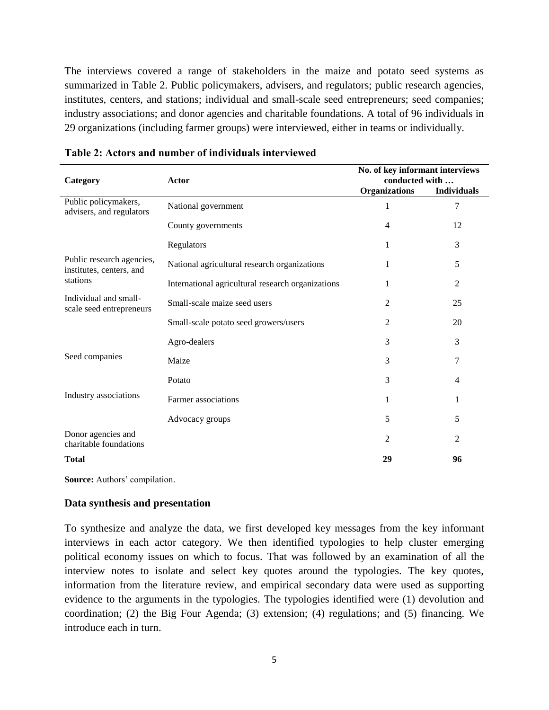The interviews covered a range of stakeholders in the maize and potato seed systems as summarized in Table 2. Public policymakers, advisers, and regulators; public research agencies, institutes, centers, and stations; individual and small-scale seed entrepreneurs; seed companies; industry associations; and donor agencies and charitable foundations. A total of 96 individuals in 29 organizations (including farmer groups) were interviewed, either in teams or individually.

| Category                                              | <b>Actor</b>                                      | No. of key informant interviews<br>conducted with |                    |  |
|-------------------------------------------------------|---------------------------------------------------|---------------------------------------------------|--------------------|--|
|                                                       |                                                   | Organizations                                     | <b>Individuals</b> |  |
| Public policymakers,<br>advisers, and regulators      | National government                               | 1                                                 | 7                  |  |
|                                                       | County governments                                | 4                                                 | 12                 |  |
|                                                       | Regulators                                        | 1                                                 | 3                  |  |
| Public research agencies,<br>institutes, centers, and | National agricultural research organizations      | 1                                                 | 5                  |  |
| stations                                              | International agricultural research organizations |                                                   | 2                  |  |
| Individual and small-<br>scale seed entrepreneurs     | Small-scale maize seed users                      | 2                                                 | 25                 |  |
|                                                       | Small-scale potato seed growers/users             | 2                                                 | 20                 |  |
|                                                       | Agro-dealers                                      | 3                                                 | 3                  |  |
| Seed companies                                        | Maize                                             | 3                                                 | 7                  |  |
|                                                       | Potato                                            | 3                                                 | $\overline{4}$     |  |
| Industry associations                                 | Farmer associations                               | 1                                                 | 1                  |  |
|                                                       | Advocacy groups                                   | 5                                                 | 5                  |  |
| Donor agencies and<br>charitable foundations          |                                                   | $\overline{c}$                                    | $\overline{2}$     |  |
| <b>Total</b>                                          |                                                   | 29                                                | 96                 |  |

<span id="page-12-1"></span>

| Table 2: Actors and number of individuals interviewed |  |
|-------------------------------------------------------|--|
|-------------------------------------------------------|--|

<span id="page-12-0"></span>**Source:** Authors' compilation.

#### **Data synthesis and presentation**

To synthesize and analyze the data, we first developed key messages from the key informant interviews in each actor category. We then identified typologies to help cluster emerging political economy issues on which to focus. That was followed by an examination of all the interview notes to isolate and select key quotes around the typologies. The key quotes, information from the literature review, and empirical secondary data were used as supporting evidence to the arguments in the typologies. The typologies identified were (1) devolution and coordination; (2) the Big Four Agenda; (3) extension; (4) regulations; and (5) financing. We introduce each in turn.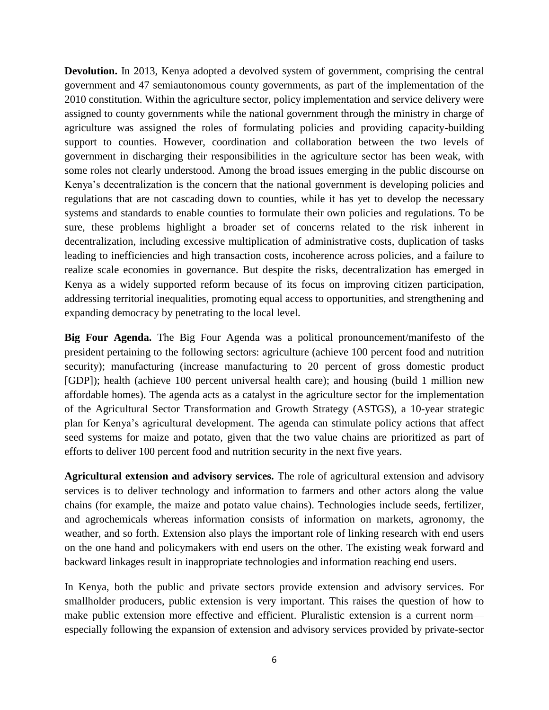**Devolution.** In 2013, Kenya adopted a devolved system of government, comprising the central government and 47 semiautonomous county governments, as part of the implementation of the 2010 constitution. Within the agriculture sector, policy implementation and service delivery were assigned to county governments while the national government through the ministry in charge of agriculture was assigned the roles of formulating policies and providing capacity-building support to counties. However, coordination and collaboration between the two levels of government in discharging their responsibilities in the agriculture sector has been weak, with some roles not clearly understood. Among the broad issues emerging in the public discourse on Kenya's decentralization is the concern that the national government is developing policies and regulations that are not cascading down to counties, while it has yet to develop the necessary systems and standards to enable counties to formulate their own policies and regulations. To be sure, these problems highlight a broader set of concerns related to the risk inherent in decentralization, including excessive multiplication of administrative costs, duplication of tasks leading to inefficiencies and high transaction costs, incoherence across policies, and a failure to realize scale economies in governance. But despite the risks, decentralization has emerged in Kenya as a widely supported reform because of its focus on improving citizen participation, addressing territorial inequalities, promoting equal access to opportunities, and strengthening and expanding democracy by penetrating to the local level.

**Big Four Agenda.** The Big Four Agenda was a political pronouncement/manifesto of the president pertaining to the following sectors: agriculture (achieve 100 percent food and nutrition security); manufacturing (increase manufacturing to 20 percent of gross domestic product [GDP]); health (achieve 100 percent universal health care); and housing (build 1 million new affordable homes). The agenda acts as a catalyst in the agriculture sector for the implementation of the Agricultural Sector Transformation and Growth Strategy (ASTGS), a 10-year strategic plan for Kenya's agricultural development. The agenda can stimulate policy actions that affect seed systems for maize and potato, given that the two value chains are prioritized as part of efforts to deliver 100 percent food and nutrition security in the next five years.

**Agricultural extension and advisory services.** The role of agricultural extension and advisory services is to deliver technology and information to farmers and other actors along the value chains (for example, the maize and potato value chains). Technologies include seeds, fertilizer, and agrochemicals whereas information consists of information on markets, agronomy, the weather, and so forth. Extension also plays the important role of linking research with end users on the one hand and policymakers with end users on the other. The existing weak forward and backward linkages result in inappropriate technologies and information reaching end users.

In Kenya, both the public and private sectors provide extension and advisory services. For smallholder producers, public extension is very important. This raises the question of how to make public extension more effective and efficient. Pluralistic extension is a current norm especially following the expansion of extension and advisory services provided by private-sector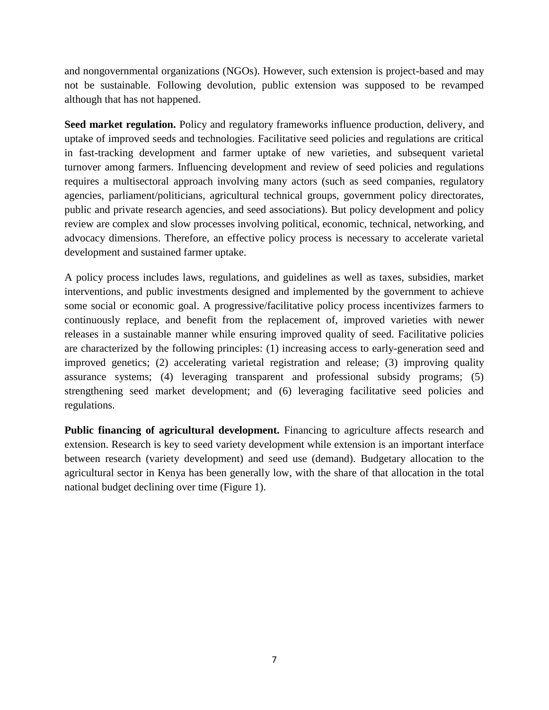and nongovernmental organizations (NGOs). However, such extension is project-based and may not be sustainable. Following devolution, public extension was supposed to be revamped although that has not happened.

**Seed market regulation.** Policy and regulatory frameworks influence production, delivery, and uptake of improved seeds and technologies. Facilitative seed policies and regulations are critical in fast-tracking development and farmer uptake of new varieties, and subsequent varietal turnover among farmers. Influencing development and review of seed policies and regulations requires a multisectoral approach involving many actors (such as seed companies, regulatory agencies, parliament/politicians, agricultural technical groups, government policy directorates, public and private research agencies, and seed associations). But policy development and policy review are complex and slow processes involving political, economic, technical, networking, and advocacy dimensions. Therefore, an effective policy process is necessary to accelerate varietal development and sustained farmer uptake.

A policy process includes laws, regulations, and guidelines as well as taxes, subsidies, market interventions, and public investments designed and implemented by the government to achieve some social or economic goal. A progressive/facilitative policy process incentivizes farmers to continuously replace, and benefit from the replacement of, improved varieties with newer releases in a sustainable manner while ensuring improved quality of seed. Facilitative policies are characterized by the following principles: (1) increasing access to early-generation seed and improved genetics; (2) accelerating varietal registration and release; (3) improving quality assurance systems; (4) leveraging transparent and professional subsidy programs; (5) strengthening seed market development; and (6) leveraging facilitative seed policies and regulations.

Public financing of agricultural development. Financing to agriculture affects research and extension. Research is key to seed variety development while extension is an important interface between research (variety development) and seed use (demand). Budgetary allocation to the agricultural sector in Kenya has been generally low, with the share of that allocation in the total national budget declining over time (Figure 1).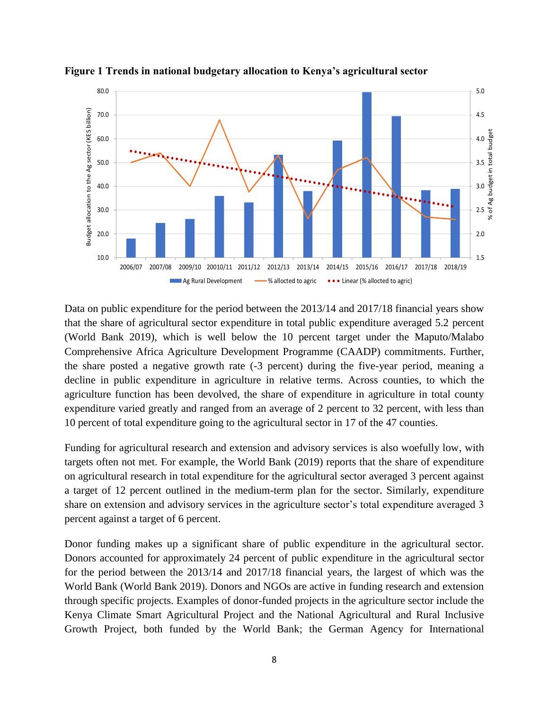

<span id="page-15-0"></span>**Figure 1 Trends in national budgetary allocation to Kenya's agricultural sector**

Data on public expenditure for the period between the 2013/14 and 2017/18 financial years show that the share of agricultural sector expenditure in total public expenditure averaged 5.2 percent (World Bank 2019), which is well below the 10 percent target under the Maputo/Malabo Comprehensive Africa Agriculture Development Programme (CAADP) commitments. Further, the share posted a negative growth rate (-3 percent) during the five-year period, meaning a decline in public expenditure in agriculture in relative terms. Across counties, to which the agriculture function has been devolved, the share of expenditure in agriculture in total county expenditure varied greatly and ranged from an average of 2 percent to 32 percent, with less than 10 percent of total expenditure going to the agricultural sector in 17 of the 47 counties.

Funding for agricultural research and extension and advisory services is also woefully low, with targets often not met. For example, the World Bank (2019) reports that the share of expenditure on agricultural research in total expenditure for the agricultural sector averaged 3 percent against a target of 12 percent outlined in the medium-term plan for the sector. Similarly, expenditure share on extension and advisory services in the agriculture sector's total expenditure averaged 3 percent against a target of 6 percent.

Donor funding makes up a significant share of public expenditure in the agricultural sector. Donors accounted for approximately 24 percent of public expenditure in the agricultural sector for the period between the 2013/14 and 2017/18 financial years, the largest of which was the World Bank (World Bank 2019). Donors and NGOs are active in funding research and extension through specific projects. Examples of donor-funded projects in the agriculture sector include the Kenya Climate Smart Agricultural Project and the National Agricultural and Rural Inclusive Growth Project, both funded by the World Bank; the German Agency for International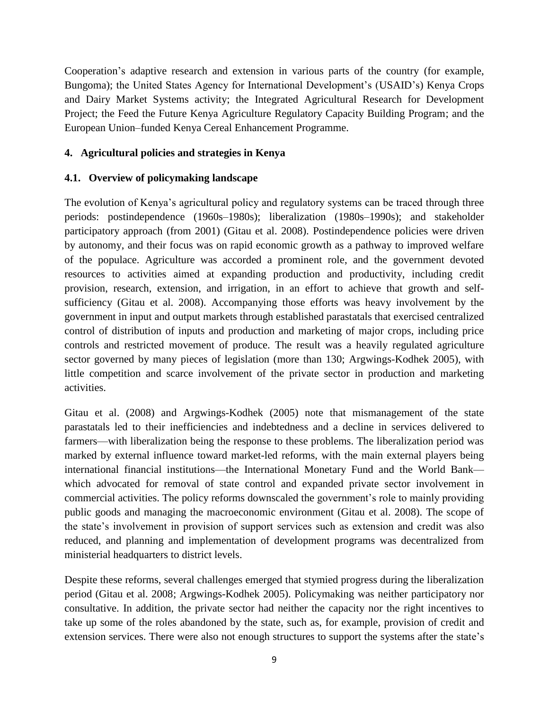Cooperation's adaptive research and extension in various parts of the country (for example, Bungoma); the United States Agency for International Development's (USAID's) Kenya Crops and Dairy Market Systems activity; the Integrated Agricultural Research for Development Project; the Feed the Future Kenya Agriculture Regulatory Capacity Building Program; and the European Union–funded Kenya Cereal Enhancement Programme.

## <span id="page-16-0"></span>**4. Agricultural policies and strategies in Kenya**

## <span id="page-16-1"></span>**4.1. Overview of policymaking landscape**

The evolution of Kenya's agricultural policy and regulatory systems can be traced through three periods: postindependence (1960s–1980s); liberalization (1980s–1990s); and stakeholder participatory approach (from 2001) (Gitau et al. 2008). Postindependence policies were driven by autonomy, and their focus was on rapid economic growth as a pathway to improved welfare of the populace. Agriculture was accorded a prominent role, and the government devoted resources to activities aimed at expanding production and productivity, including credit provision, research, extension, and irrigation, in an effort to achieve that growth and selfsufficiency (Gitau et al. 2008). Accompanying those efforts was heavy involvement by the government in input and output markets through established parastatals that exercised centralized control of distribution of inputs and production and marketing of major crops, including price controls and restricted movement of produce. The result was a heavily regulated agriculture sector governed by many pieces of legislation (more than 130; Argwings-Kodhek 2005), with little competition and scarce involvement of the private sector in production and marketing activities.

Gitau et al. (2008) and Argwings-Kodhek (2005) note that mismanagement of the state parastatals led to their inefficiencies and indebtedness and a decline in services delivered to farmers—with liberalization being the response to these problems. The liberalization period was marked by external influence toward market-led reforms, with the main external players being international financial institutions—the International Monetary Fund and the World Bank which advocated for removal of state control and expanded private sector involvement in commercial activities. The policy reforms downscaled the government's role to mainly providing public goods and managing the macroeconomic environment (Gitau et al. 2008). The scope of the state's involvement in provision of support services such as extension and credit was also reduced, and planning and implementation of development programs was decentralized from ministerial headquarters to district levels.

Despite these reforms, several challenges emerged that stymied progress during the liberalization period (Gitau et al. 2008; Argwings-Kodhek 2005). Policymaking was neither participatory nor consultative. In addition, the private sector had neither the capacity nor the right incentives to take up some of the roles abandoned by the state, such as, for example, provision of credit and extension services. There were also not enough structures to support the systems after the state's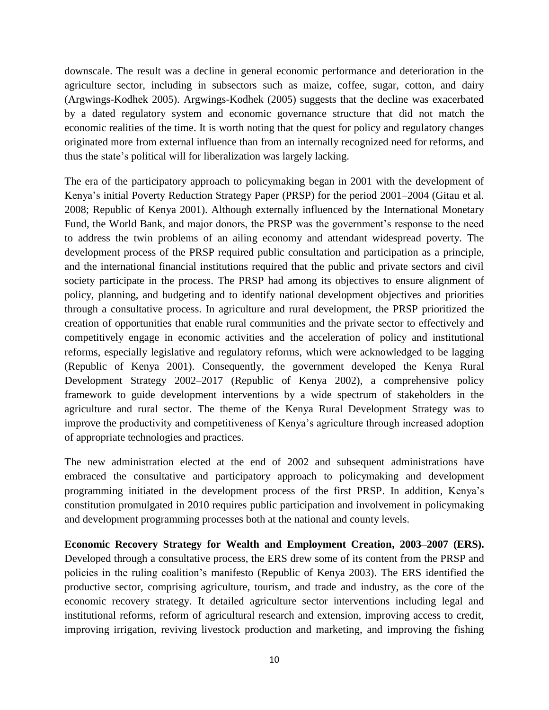downscale. The result was a decline in general economic performance and deterioration in the agriculture sector, including in subsectors such as maize, coffee, sugar, cotton, and dairy (Argwings-Kodhek 2005). Argwings-Kodhek (2005) suggests that the decline was exacerbated by a dated regulatory system and economic governance structure that did not match the economic realities of the time. It is worth noting that the quest for policy and regulatory changes originated more from external influence than from an internally recognized need for reforms, and thus the state's political will for liberalization was largely lacking.

The era of the participatory approach to policymaking began in 2001 with the development of Kenya's initial Poverty Reduction Strategy Paper (PRSP) for the period 2001–2004 (Gitau et al. 2008; Republic of Kenya 2001). Although externally influenced by the International Monetary Fund, the World Bank, and major donors, the PRSP was the government's response to the need to address the twin problems of an ailing economy and attendant widespread poverty. The development process of the PRSP required public consultation and participation as a principle, and the international financial institutions required that the public and private sectors and civil society participate in the process. The PRSP had among its objectives to ensure alignment of policy, planning, and budgeting and to identify national development objectives and priorities through a consultative process. In agriculture and rural development, the PRSP prioritized the creation of opportunities that enable rural communities and the private sector to effectively and competitively engage in economic activities and the acceleration of policy and institutional reforms, especially legislative and regulatory reforms, which were acknowledged to be lagging (Republic of Kenya 2001). Consequently, the government developed the Kenya Rural Development Strategy 2002–2017 (Republic of Kenya 2002), a comprehensive policy framework to guide development interventions by a wide spectrum of stakeholders in the agriculture and rural sector. The theme of the Kenya Rural Development Strategy was to improve the productivity and competitiveness of Kenya's agriculture through increased adoption of appropriate technologies and practices.

The new administration elected at the end of 2002 and subsequent administrations have embraced the consultative and participatory approach to policymaking and development programming initiated in the development process of the first PRSP. In addition, Kenya's constitution promulgated in 2010 requires public participation and involvement in policymaking and development programming processes both at the national and county levels.

**Economic Recovery Strategy for Wealth and Employment Creation, 2003–2007 (ERS).** Developed through a consultative process, the ERS drew some of its content from the PRSP and policies in the ruling coalition's manifesto (Republic of Kenya 2003). The ERS identified the productive sector, comprising agriculture, tourism, and trade and industry, as the core of the economic recovery strategy. It detailed agriculture sector interventions including legal and institutional reforms*,* reform of agricultural research and extension, improving access to credit, improving irrigation, reviving livestock production and marketing, and improving the fishing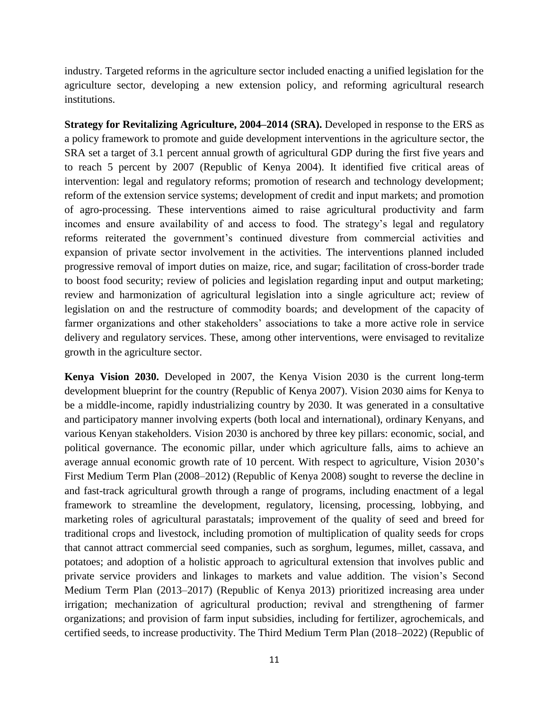industry. Targeted reforms in the agriculture sector included enacting a unified legislation for the agriculture sector, developing a new extension policy, and reforming agricultural research institutions.

**Strategy for Revitalizing Agriculture, 2004–2014 (SRA).** Developed in response to the ERS as a policy framework to promote and guide development interventions in the agriculture sector, the SRA set a target of 3.1 percent annual growth of agricultural GDP during the first five years and to reach 5 percent by 2007 (Republic of Kenya 2004). It identified five critical areas of intervention: legal and regulatory reforms; promotion of research and technology development; reform of the extension service systems; development of credit and input markets; and promotion of agro-processing. These interventions aimed to raise agricultural productivity and farm incomes and ensure availability of and access to food. The strategy's legal and regulatory reforms reiterated the government's continued divesture from commercial activities and expansion of private sector involvement in the activities. The interventions planned included progressive removal of import duties on maize, rice, and sugar; facilitation of cross-border trade to boost food security; review of policies and legislation regarding input and output marketing; review and harmonization of agricultural legislation into a single agriculture act; review of legislation on and the restructure of commodity boards; and development of the capacity of farmer organizations and other stakeholders' associations to take a more active role in service delivery and regulatory services. These, among other interventions, were envisaged to revitalize growth in the agriculture sector.

**Kenya Vision 2030.** Developed in 2007, the Kenya Vision 2030 is the current long-term development blueprint for the country (Republic of Kenya 2007). Vision 2030 aims for Kenya to be a middle-income, rapidly industrializing country by 2030. It was generated in a consultative and participatory manner involving experts (both local and international), ordinary Kenyans, and various Kenyan stakeholders. Vision 2030 is anchored by three key pillars: economic, social, and political governance. The economic pillar, under which agriculture falls, aims to achieve an average annual economic growth rate of 10 percent. With respect to agriculture, Vision 2030's First Medium Term Plan (2008–2012) (Republic of Kenya 2008) sought to reverse the decline in and fast-track agricultural growth through a range of programs, including enactment of a legal framework to streamline the development, regulatory, licensing, processing, lobbying, and marketing roles of agricultural parastatals; improvement of the quality of seed and breed for traditional crops and livestock, including promotion of multiplication of quality seeds for crops that cannot attract commercial seed companies, such as sorghum, legumes, millet, cassava, and potatoes; and adoption of a holistic approach to agricultural extension that involves public and private service providers and linkages to markets and value addition. The vision's Second Medium Term Plan (2013–2017) (Republic of Kenya 2013) prioritized increasing area under irrigation; mechanization of agricultural production; revival and strengthening of farmer organizations; and provision of farm input subsidies, including for fertilizer, agrochemicals, and certified seeds, to increase productivity. The Third Medium Term Plan (2018–2022) (Republic of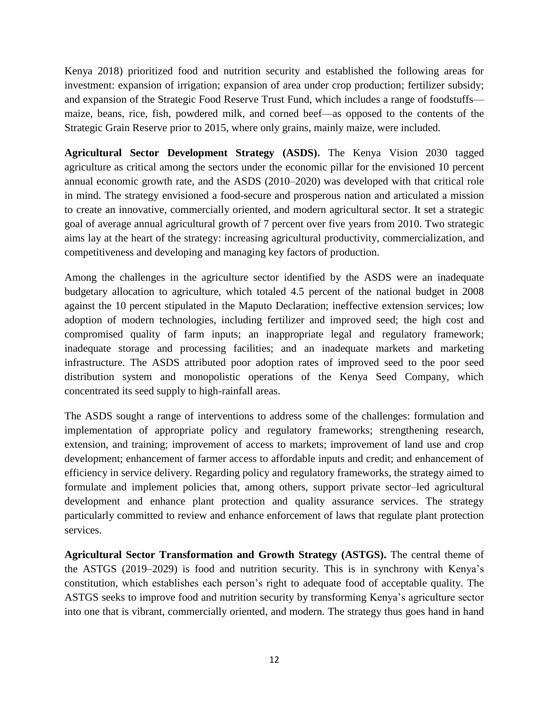Kenya 2018) prioritized food and nutrition security and established the following areas for investment: expansion of irrigation; expansion of area under crop production; fertilizer subsidy; and expansion of the Strategic Food Reserve Trust Fund, which includes a range of foodstuffs maize, beans, rice, fish, powdered milk, and corned beef—as opposed to the contents of the Strategic Grain Reserve prior to 2015, where only grains, mainly maize, were included.

**Agricultural Sector Development Strategy (ASDS).** The Kenya Vision 2030 tagged agriculture as critical among the sectors under the economic pillar for the envisioned 10 percent annual economic growth rate, and the ASDS (2010–2020) was developed with that critical role in mind. The strategy envisioned a food-secure and prosperous nation and articulated a mission to create an innovative, commercially oriented, and modern agricultural sector. It set a strategic goal of average annual agricultural growth of 7 percent over five years from 2010. Two strategic aims lay at the heart of the strategy: increasing agricultural productivity, commercialization, and competitiveness and developing and managing key factors of production.

Among the challenges in the agriculture sector identified by the ASDS were an inadequate budgetary allocation to agriculture, which totaled 4.5 percent of the national budget in 2008 against the 10 percent stipulated in the Maputo Declaration; ineffective extension services; low adoption of modern technologies, including fertilizer and improved seed; the high cost and compromised quality of farm inputs; an inappropriate legal and regulatory framework; inadequate storage and processing facilities; and an inadequate markets and marketing infrastructure. The ASDS attributed poor adoption rates of improved seed to the poor seed distribution system and monopolistic operations of the Kenya Seed Company, which concentrated its seed supply to high-rainfall areas.

The ASDS sought a range of interventions to address some of the challenges: formulation and implementation of appropriate policy and regulatory frameworks; strengthening research, extension, and training; improvement of access to markets; improvement of land use and crop development; enhancement of farmer access to affordable inputs and credit; and enhancement of efficiency in service delivery. Regarding policy and regulatory frameworks, the strategy aimed to formulate and implement policies that, among others, support private sector–led agricultural development and enhance plant protection and quality assurance services. The strategy particularly committed to review and enhance enforcement of laws that regulate plant protection services.

**Agricultural Sector Transformation and Growth Strategy (ASTGS).** The central theme of the ASTGS (2019–2029) is food and nutrition security. This is in synchrony with Kenya's constitution, which establishes each person's right to adequate food of acceptable quality. The ASTGS seeks to improve food and nutrition security by transforming Kenya's agriculture sector into one that is vibrant, commercially oriented, and modern. The strategy thus goes hand in hand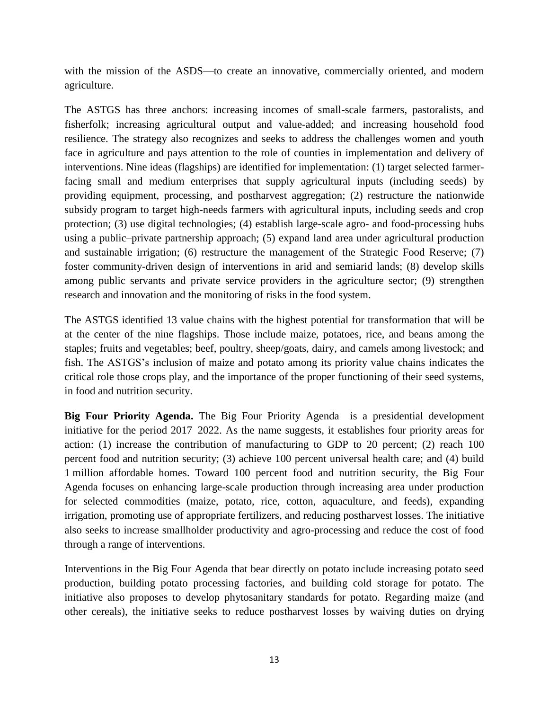with the mission of the ASDS—to create an innovative, commercially oriented, and modern agriculture.

The ASTGS has three anchors: increasing incomes of small-scale farmers, pastoralists, and fisherfolk; increasing agricultural output and value-added; and increasing household food resilience. The strategy also recognizes and seeks to address the challenges women and youth face in agriculture and pays attention to the role of counties in implementation and delivery of interventions. Nine ideas (flagships) are identified for implementation: (1) target selected farmerfacing small and medium enterprises that supply agricultural inputs (including seeds) by providing equipment, processing, and postharvest aggregation; (2) restructure the nationwide subsidy program to target high-needs farmers with agricultural inputs, including seeds and crop protection; (3) use digital technologies; (4) establish large-scale agro- and food-processing hubs using a public–private partnership approach; (5) expand land area under agricultural production and sustainable irrigation; (6) restructure the management of the Strategic Food Reserve; (7) foster community-driven design of interventions in arid and semiarid lands; (8) develop skills among public servants and private service providers in the agriculture sector; (9) strengthen research and innovation and the monitoring of risks in the food system.

The ASTGS identified 13 value chains with the highest potential for transformation that will be at the center of the nine flagships. Those include maize, potatoes, rice, and beans among the staples; fruits and vegetables; beef, poultry, sheep/goats, dairy, and camels among livestock; and fish. The ASTGS's inclusion of maize and potato among its priority value chains indicates the critical role those crops play, and the importance of the proper functioning of their seed systems, in food and nutrition security.

**Big Four Priority Agenda.** The Big Four Priority Agenda is a presidential development initiative for the period 2017–2022. As the name suggests, it establishes four priority areas for action: (1) increase the contribution of manufacturing to GDP to 20 percent; (2) reach 100 percent food and nutrition security; (3) achieve 100 percent universal health care; and (4) build 1 million affordable homes. Toward 100 percent food and nutrition security, the Big Four Agenda focuses on enhancing large-scale production through increasing area under production for selected commodities (maize, potato, rice, cotton, aquaculture, and feeds), expanding irrigation, promoting use of appropriate fertilizers, and reducing postharvest losses. The initiative also seeks to increase smallholder productivity and agro-processing and reduce the cost of food through a range of interventions.

Interventions in the Big Four Agenda that bear directly on potato include increasing potato seed production, building potato processing factories, and building cold storage for potato. The initiative also proposes to develop phytosanitary standards for potato. Regarding maize (and other cereals), the initiative seeks to reduce postharvest losses by waiving duties on drying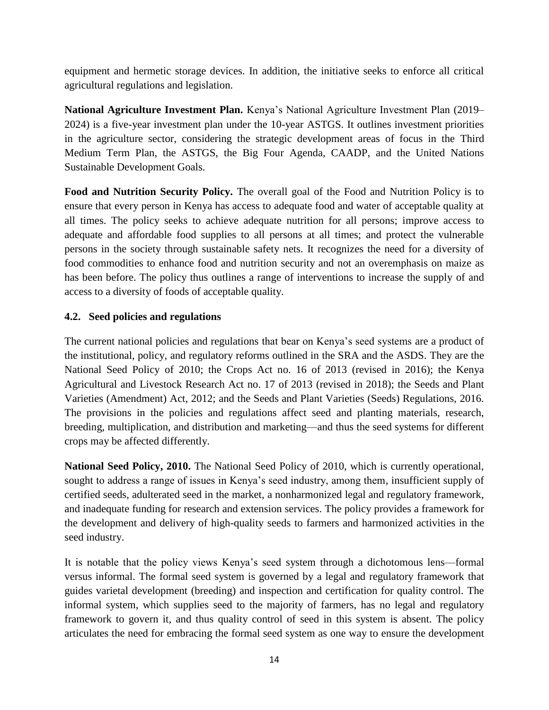equipment and hermetic storage devices. In addition, the initiative seeks to enforce all critical agricultural regulations and legislation.

**National Agriculture Investment Plan.** Kenya's National Agriculture Investment Plan (2019– 2024) is a five-year investment plan under the 10-year ASTGS. It outlines investment priorities in the agriculture sector, considering the strategic development areas of focus in the Third Medium Term Plan, the ASTGS, the Big Four Agenda, CAADP, and the United Nations Sustainable Development Goals.

**Food and Nutrition Security Policy.** The overall goal of the Food and Nutrition Policy is to ensure that every person in Kenya has access to adequate food and water of acceptable quality at all times. The policy seeks to achieve adequate nutrition for all persons; improve access to adequate and affordable food supplies to all persons at all times; and protect the vulnerable persons in the society through sustainable safety nets. It recognizes the need for a diversity of food commodities to enhance food and nutrition security and not an overemphasis on maize as has been before. The policy thus outlines a range of interventions to increase the supply of and access to a diversity of foods of acceptable quality.

# <span id="page-21-0"></span>**4.2. Seed policies and regulations**

The current national policies and regulations that bear on Kenya's seed systems are a product of the institutional, policy, and regulatory reforms outlined in the SRA and the ASDS. They are the National Seed Policy of 2010; the Crops Act no. 16 of 2013 (revised in 2016); the Kenya Agricultural and Livestock Research Act no. 17 of 2013 (revised in 2018); the Seeds and Plant Varieties (Amendment) Act, 2012; and the Seeds and Plant Varieties (Seeds) Regulations, 2016. The provisions in the policies and regulations affect seed and planting materials, research, breeding, multiplication, and distribution and marketing—and thus the seed systems for different crops may be affected differently.

**National Seed Policy, 2010.** The National Seed Policy of 2010, which is currently operational, sought to address a range of issues in Kenya's seed industry, among them, insufficient supply of certified seeds, adulterated seed in the market, a nonharmonized legal and regulatory framework, and inadequate funding for research and extension services. The policy provides a framework for the development and delivery of high-quality seeds to farmers and harmonized activities in the seed industry.

It is notable that the policy views Kenya's seed system through a dichotomous lens—formal versus informal. The formal seed system is governed by a legal and regulatory framework that guides varietal development (breeding) and inspection and certification for quality control. The informal system, which supplies seed to the majority of farmers, has no legal and regulatory framework to govern it, and thus quality control of seed in this system is absent. The policy articulates the need for embracing the formal seed system as one way to ensure the development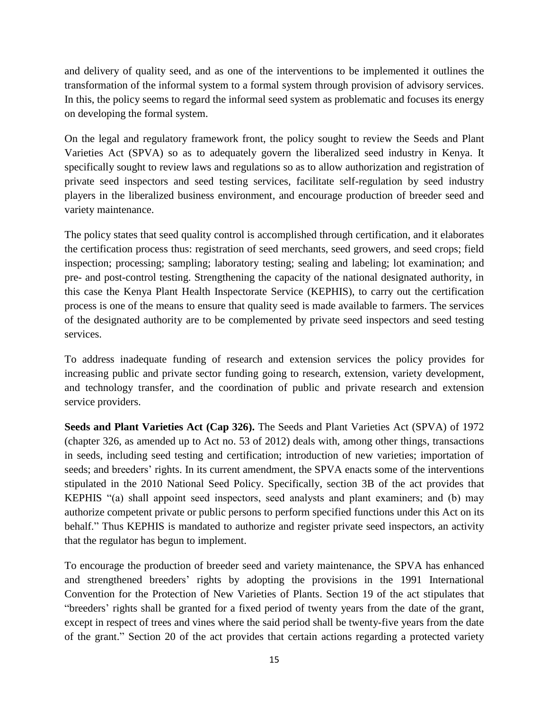and delivery of quality seed, and as one of the interventions to be implemented it outlines the transformation of the informal system to a formal system through provision of advisory services. In this, the policy seems to regard the informal seed system as problematic and focuses its energy on developing the formal system.

On the legal and regulatory framework front, the policy sought to review the Seeds and Plant Varieties Act (SPVA) so as to adequately govern the liberalized seed industry in Kenya. It specifically sought to review laws and regulations so as to allow authorization and registration of private seed inspectors and seed testing services, facilitate self-regulation by seed industry players in the liberalized business environment, and encourage production of breeder seed and variety maintenance.

The policy states that seed quality control is accomplished through certification, and it elaborates the certification process thus: registration of seed merchants, seed growers, and seed crops; field inspection; processing; sampling; laboratory testing; sealing and labeling; lot examination; and pre- and post-control testing. Strengthening the capacity of the national designated authority, in this case the Kenya Plant Health Inspectorate Service (KEPHIS), to carry out the certification process is one of the means to ensure that quality seed is made available to farmers. The services of the designated authority are to be complemented by private seed inspectors and seed testing services.

To address inadequate funding of research and extension services the policy provides for increasing public and private sector funding going to research, extension, variety development, and technology transfer, and the coordination of public and private research and extension service providers.

**Seeds and Plant Varieties Act (Cap 326).** The Seeds and Plant Varieties Act (SPVA) of 1972 (chapter 326, as amended up to Act no. 53 of 2012) deals with, among other things, transactions in seeds, including seed testing and certification; introduction of new varieties; importation of seeds; and breeders' rights. In its current amendment, the SPVA enacts some of the interventions stipulated in the 2010 National Seed Policy. Specifically, section 3B of the act provides that KEPHIS "(a) shall appoint seed inspectors, seed analysts and plant examiners; and (b) may authorize competent private or public persons to perform specified functions under this Act on its behalf." Thus KEPHIS is mandated to authorize and register private seed inspectors, an activity that the regulator has begun to implement.

To encourage the production of breeder seed and variety maintenance, the SPVA has enhanced and strengthened breeders' rights by adopting the provisions in the 1991 International Convention for the Protection of New Varieties of Plants. Section 19 of the act stipulates that "breeders' rights shall be granted for a fixed period of twenty years from the date of the grant, except in respect of trees and vines where the said period shall be twenty-five years from the date of the grant." Section 20 of the act provides that certain actions regarding a protected variety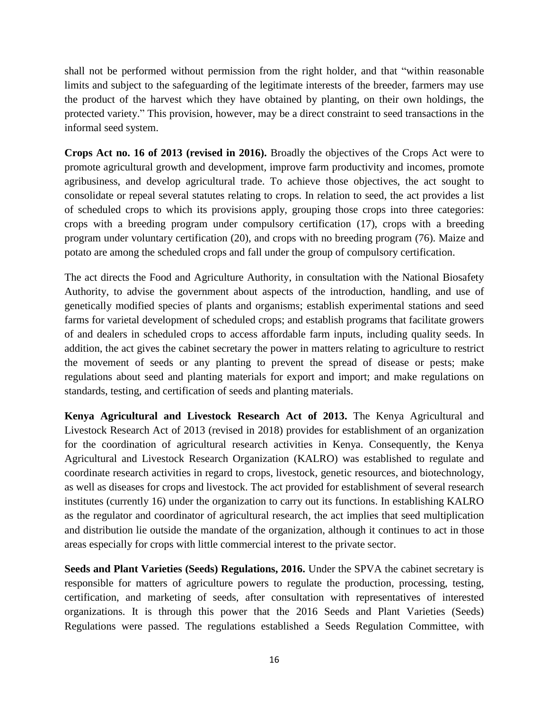shall not be performed without permission from the right holder, and that "within reasonable limits and subject to the safeguarding of the legitimate interests of the breeder, farmers may use the product of the harvest which they have obtained by planting, on their own holdings, the protected variety." This provision, however, may be a direct constraint to seed transactions in the informal seed system.

**Crops Act no. 16 of 2013 (revised in 2016).** Broadly the objectives of the Crops Act were to promote agricultural growth and development, improve farm productivity and incomes, promote agribusiness, and develop agricultural trade. To achieve those objectives, the act sought to consolidate or repeal several statutes relating to crops. In relation to seed, the act provides a list of scheduled crops to which its provisions apply, grouping those crops into three categories: crops with a breeding program under compulsory certification (17), crops with a breeding program under voluntary certification (20), and crops with no breeding program (76). Maize and potato are among the scheduled crops and fall under the group of compulsory certification.

The act directs the Food and Agriculture Authority, in consultation with the National Biosafety Authority, to advise the government about aspects of the introduction, handling, and use of genetically modified species of plants and organisms; establish experimental stations and seed farms for varietal development of scheduled crops; and establish programs that facilitate growers of and dealers in scheduled crops to access affordable farm inputs, including quality seeds. In addition, the act gives the cabinet secretary the power in matters relating to agriculture to restrict the movement of seeds or any planting to prevent the spread of disease or pests; make regulations about seed and planting materials for export and import; and make regulations on standards, testing, and certification of seeds and planting materials.

**Kenya Agricultural and Livestock Research Act of 2013.** The Kenya Agricultural and Livestock Research Act of 2013 (revised in 2018) provides for establishment of an organization for the coordination of agricultural research activities in Kenya. Consequently, the Kenya Agricultural and Livestock Research Organization (KALRO) was established to regulate and coordinate research activities in regard to crops, livestock, genetic resources, and biotechnology, as well as diseases for crops and livestock. The act provided for establishment of several research institutes (currently 16) under the organization to carry out its functions. In establishing KALRO as the regulator and coordinator of agricultural research, the act implies that seed multiplication and distribution lie outside the mandate of the organization, although it continues to act in those areas especially for crops with little commercial interest to the private sector.

**Seeds and Plant Varieties (Seeds) Regulations, 2016.** Under the SPVA the cabinet secretary is responsible for matters of agriculture powers to regulate the production, processing, testing, certification, and marketing of seeds, after consultation with representatives of interested organizations. It is through this power that the 2016 Seeds and Plant Varieties (Seeds) Regulations were passed. The regulations established a Seeds Regulation Committee, with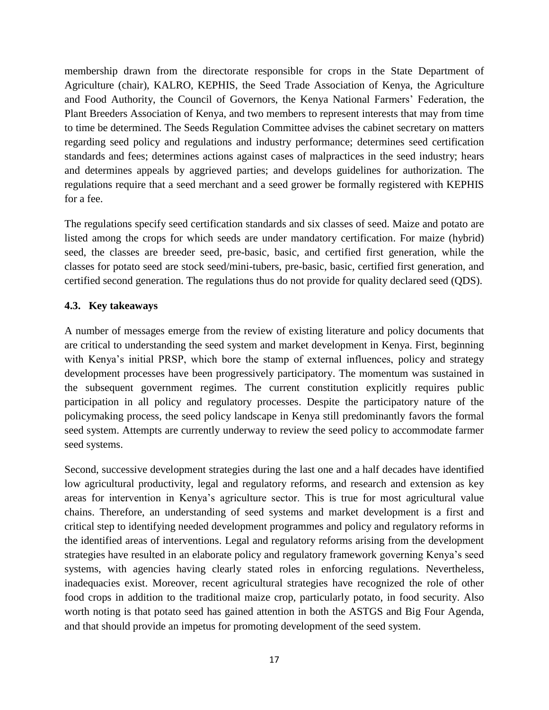membership drawn from the directorate responsible for crops in the State Department of Agriculture (chair), KALRO, KEPHIS, the Seed Trade Association of Kenya, the Agriculture and Food Authority, the Council of Governors, the Kenya National Farmers' Federation, the Plant Breeders Association of Kenya, and two members to represent interests that may from time to time be determined. The Seeds Regulation Committee advises the cabinet secretary on matters regarding seed policy and regulations and industry performance; determines seed certification standards and fees; determines actions against cases of malpractices in the seed industry; hears and determines appeals by aggrieved parties; and develops guidelines for authorization. The regulations require that a seed merchant and a seed grower be formally registered with KEPHIS for a fee.

The regulations specify seed certification standards and six classes of seed. Maize and potato are listed among the crops for which seeds are under mandatory certification. For maize (hybrid) seed, the classes are breeder seed, pre-basic, basic, and certified first generation, while the classes for potato seed are stock seed/mini-tubers, pre-basic, basic, certified first generation, and certified second generation. The regulations thus do not provide for quality declared seed (QDS).

# <span id="page-24-0"></span>**4.3. Key takeaways**

A number of messages emerge from the review of existing literature and policy documents that are critical to understanding the seed system and market development in Kenya. First, beginning with Kenya's initial PRSP, which bore the stamp of external influences, policy and strategy development processes have been progressively participatory. The momentum was sustained in the subsequent government regimes. The current constitution explicitly requires public participation in all policy and regulatory processes. Despite the participatory nature of the policymaking process, the seed policy landscape in Kenya still predominantly favors the formal seed system. Attempts are currently underway to review the seed policy to accommodate farmer seed systems.

Second, successive development strategies during the last one and a half decades have identified low agricultural productivity, legal and regulatory reforms, and research and extension as key areas for intervention in Kenya's agriculture sector. This is true for most agricultural value chains. Therefore, an understanding of seed systems and market development is a first and critical step to identifying needed development programmes and policy and regulatory reforms in the identified areas of interventions. Legal and regulatory reforms arising from the development strategies have resulted in an elaborate policy and regulatory framework governing Kenya's seed systems, with agencies having clearly stated roles in enforcing regulations. Nevertheless, inadequacies exist. Moreover, recent agricultural strategies have recognized the role of other food crops in addition to the traditional maize crop, particularly potato, in food security. Also worth noting is that potato seed has gained attention in both the ASTGS and Big Four Agenda, and that should provide an impetus for promoting development of the seed system.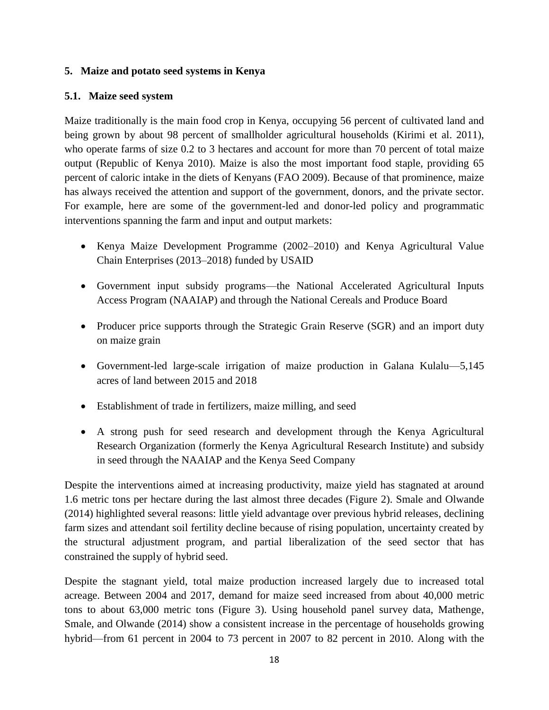# <span id="page-25-0"></span>**5. Maize and potato seed systems in Kenya**

## <span id="page-25-1"></span>**5.1. Maize seed system**

Maize traditionally is the main food crop in Kenya, occupying 56 percent of cultivated land and being grown by about 98 percent of smallholder agricultural households (Kirimi et al. 2011), who operate farms of size 0.2 to 3 hectares and account for more than 70 percent of total maize output (Republic of Kenya 2010). Maize is also the most important food staple, providing 65 percent of caloric intake in the diets of Kenyans (FAO 2009). Because of that prominence, maize has always received the attention and support of the government, donors, and the private sector. For example, here are some of the government-led and donor-led policy and programmatic interventions spanning the farm and input and output markets:

- Kenya Maize Development Programme (2002–2010) and Kenya Agricultural Value Chain Enterprises (2013–2018) funded by USAID
- Government input subsidy programs—the National Accelerated Agricultural Inputs Access Program (NAAIAP) and through the National Cereals and Produce Board
- Producer price supports through the Strategic Grain Reserve (SGR) and an import duty on maize grain
- Government-led large-scale irrigation of maize production in Galana Kulalu—5,145 acres of land between 2015 and 2018
- Establishment of trade in fertilizers, maize milling, and seed
- A strong push for seed research and development through the Kenya Agricultural Research Organization (formerly the Kenya Agricultural Research Institute) and subsidy in seed through the NAAIAP and the Kenya Seed Company

Despite the interventions aimed at increasing productivity, maize yield has stagnated at around 1.6 metric tons per hectare during the last almost three decades (Figure 2). Smale and Olwande (2014) highlighted several reasons: little yield advantage over previous hybrid releases, declining farm sizes and attendant soil fertility decline because of rising population, uncertainty created by the structural adjustment program, and partial liberalization of the seed sector that has constrained the supply of hybrid seed.

Despite the stagnant yield, total maize production increased largely due to increased total acreage. Between 2004 and 2017, demand for maize seed increased from about 40,000 metric tons to about 63,000 metric tons (Figure 3). Using household panel survey data, Mathenge, Smale, and Olwande (2014) show a consistent increase in the percentage of households growing hybrid—from 61 percent in 2004 to 73 percent in 2007 to 82 percent in 2010. Along with the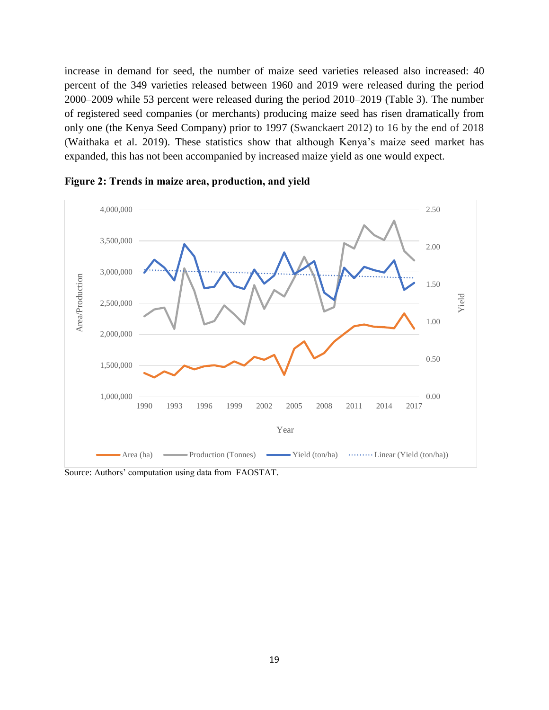increase in demand for seed, the number of maize seed varieties released also increased: 40 percent of the 349 varieties released between 1960 and 2019 were released during the period 2000–2009 while 53 percent were released during the period 2010–2019 (Table 3). The number of registered seed companies (or merchants) producing maize seed has risen dramatically from only one (the Kenya Seed Company) prior to 1997 (Swanckaert 2012) to 16 by the end of 2018 (Waithaka et al. 2019). These statistics show that although Kenya's maize seed market has expanded, this has not been accompanied by increased maize yield as one would expect.



<span id="page-26-0"></span>

Source: Authors' computation using data from FAOSTAT.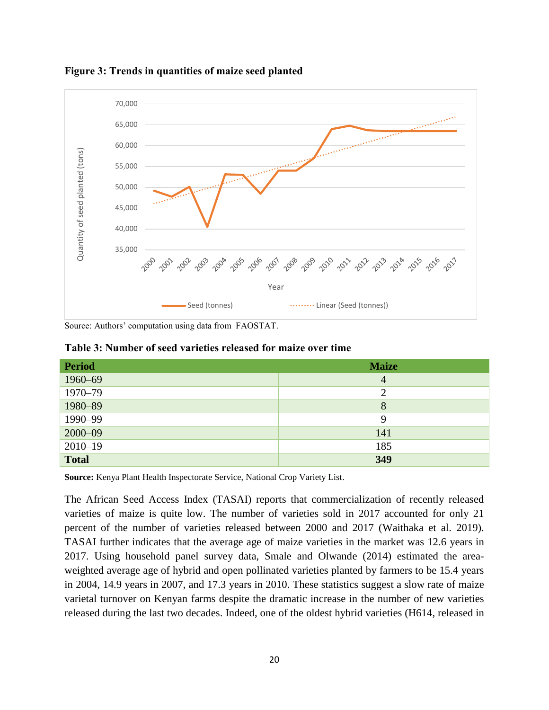

<span id="page-27-1"></span>**Figure 3: Trends in quantities of maize seed planted**

<span id="page-27-0"></span>Source: Authors' computation using data from FAOSTAT.

|  | Table 3: Number of seed varieties released for maize over time |  |  |  |  |  |  |
|--|----------------------------------------------------------------|--|--|--|--|--|--|
|--|----------------------------------------------------------------|--|--|--|--|--|--|

| <b>Period</b> | <b>Maize</b>   |
|---------------|----------------|
| 1960-69       | $\overline{4}$ |
| 1970-79       | $\overline{2}$ |
| 1980-89       | 8              |
| 1990-99       | 9              |
| $2000 - 09$   | 141            |
| $2010 - 19$   | 185            |
| <b>Total</b>  | 349            |

**Source:** Kenya Plant Health Inspectorate Service, National Crop Variety List.

The African Seed Access Index (TASAI) reports that commercialization of recently released varieties of maize is quite low. The number of varieties sold in 2017 accounted for only 21 percent of the number of varieties released between 2000 and 2017 (Waithaka et al. 2019). TASAI further indicates that the average age of maize varieties in the market was 12.6 years in 2017. Using household panel survey data, Smale and Olwande (2014) estimated the areaweighted average age of hybrid and open pollinated varieties planted by farmers to be 15.4 years in 2004, 14.9 years in 2007, and 17.3 years in 2010. These statistics suggest a slow rate of maize varietal turnover on Kenyan farms despite the dramatic increase in the number of new varieties released during the last two decades. Indeed, one of the oldest hybrid varieties (H614, released in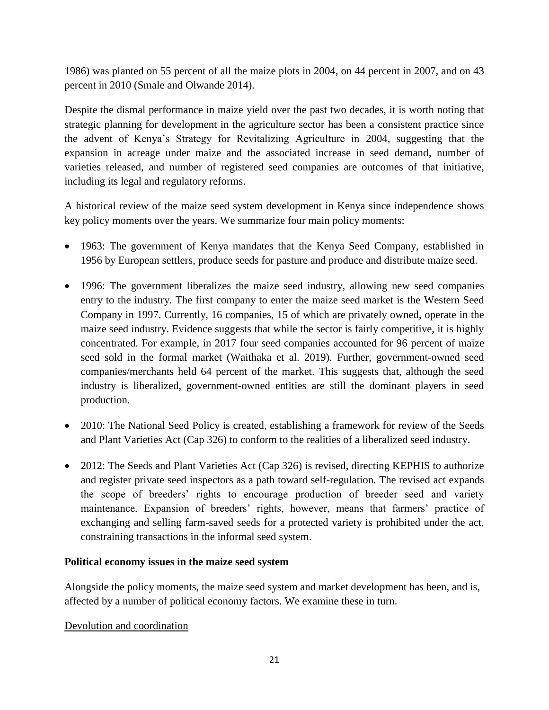1986) was planted on 55 percent of all the maize plots in 2004, on 44 percent in 2007, and on 43 percent in 2010 (Smale and Olwande 2014).

Despite the dismal performance in maize yield over the past two decades, it is worth noting that strategic planning for development in the agriculture sector has been a consistent practice since the advent of Kenya's Strategy for Revitalizing Agriculture in 2004, suggesting that the expansion in acreage under maize and the associated increase in seed demand, number of varieties released, and number of registered seed companies are outcomes of that initiative, including its legal and regulatory reforms.

A historical review of the maize seed system development in Kenya since independence shows key policy moments over the years. We summarize four main policy moments:

- 1963: The government of Kenya mandates that the Kenya Seed Company, established in 1956 by European settlers, produce seeds for pasture and produce and distribute maize seed.
- 1996: The government liberalizes the maize seed industry, allowing new seed companies entry to the industry. The first company to enter the maize seed market is the Western Seed Company in 1997. Currently, 16 companies, 15 of which are privately owned, operate in the maize seed industry. Evidence suggests that while the sector is fairly competitive, it is highly concentrated. For example, in 2017 four seed companies accounted for 96 percent of maize seed sold in the formal market (Waithaka et al. 2019). Further, government-owned seed companies/merchants held 64 percent of the market. This suggests that, although the seed industry is liberalized, government-owned entities are still the dominant players in seed production.
- 2010: The National Seed Policy is created, establishing a framework for review of the Seeds and Plant Varieties Act (Cap 326) to conform to the realities of a liberalized seed industry.
- 2012: The Seeds and Plant Varieties Act (Cap 326) is revised, directing KEPHIS to authorize and register private seed inspectors as a path toward self-regulation. The revised act expands the scope of breeders' rights to encourage production of breeder seed and variety maintenance. Expansion of breeders' rights, however, means that farmers' practice of exchanging and selling farm-saved seeds for a protected variety is prohibited under the act, constraining transactions in the informal seed system.

# **Political economy issues in the maize seed system**

Alongside the policy moments, the maize seed system and market development has been, and is, affected by a number of political economy factors. We examine these in turn.

# Devolution and coordination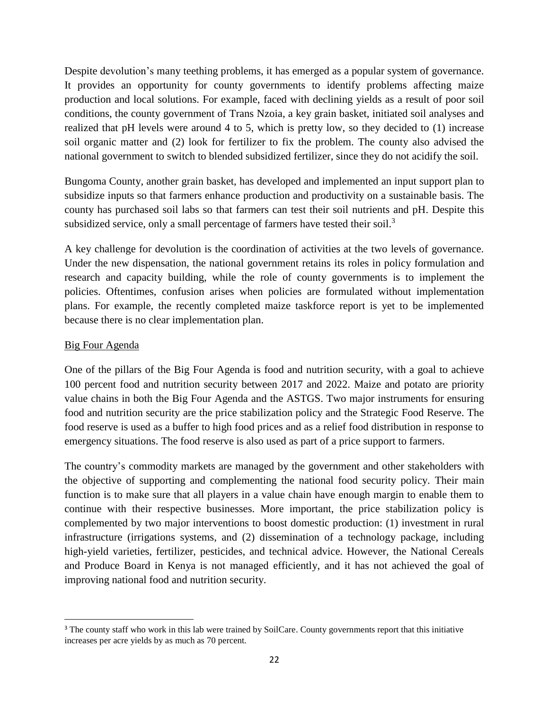Despite devolution's many teething problems, it has emerged as a popular system of governance. It provides an opportunity for county governments to identify problems affecting maize production and local solutions. For example, faced with declining yields as a result of poor soil conditions, the county government of Trans Nzoia, a key grain basket, initiated soil analyses and realized that pH levels were around 4 to 5, which is pretty low, so they decided to (1) increase soil organic matter and (2) look for fertilizer to fix the problem. The county also advised the national government to switch to blended subsidized fertilizer, since they do not acidify the soil.

Bungoma County, another grain basket, has developed and implemented an input support plan to subsidize inputs so that farmers enhance production and productivity on a sustainable basis. The county has purchased soil labs so that farmers can test their soil nutrients and pH. Despite this subsidized service, only a small percentage of farmers have tested their soil.<sup>3</sup>

A key challenge for devolution is the coordination of activities at the two levels of governance. Under the new dispensation, the national government retains its roles in policy formulation and research and capacity building, while the role of county governments is to implement the policies. Oftentimes, confusion arises when policies are formulated without implementation plans. For example, the recently completed maize taskforce report is yet to be implemented because there is no clear implementation plan.

## Big Four Agenda

One of the pillars of the Big Four Agenda is food and nutrition security, with a goal to achieve 100 percent food and nutrition security between 2017 and 2022. Maize and potato are priority value chains in both the Big Four Agenda and the ASTGS. Two major instruments for ensuring food and nutrition security are the price stabilization policy and the Strategic Food Reserve. The food reserve is used as a buffer to high food prices and as a relief food distribution in response to emergency situations. The food reserve is also used as part of a price support to farmers.

The country's commodity markets are managed by the government and other stakeholders with the objective of supporting and complementing the national food security policy. Their main function is to make sure that all players in a value chain have enough margin to enable them to continue with their respective businesses. More important, the price stabilization policy is complemented by two major interventions to boost domestic production: (1) investment in rural infrastructure (irrigations systems, and (2) dissemination of a technology package, including high-yield varieties, fertilizer, pesticides, and technical advice. However, the National Cereals and Produce Board in Kenya is not managed efficiently, and it has not achieved the goal of improving national food and nutrition security.

l <sup>3</sup> The county staff who work in this lab were trained by SoilCare. County governments report that this initiative increases per acre yields by as much as 70 percent.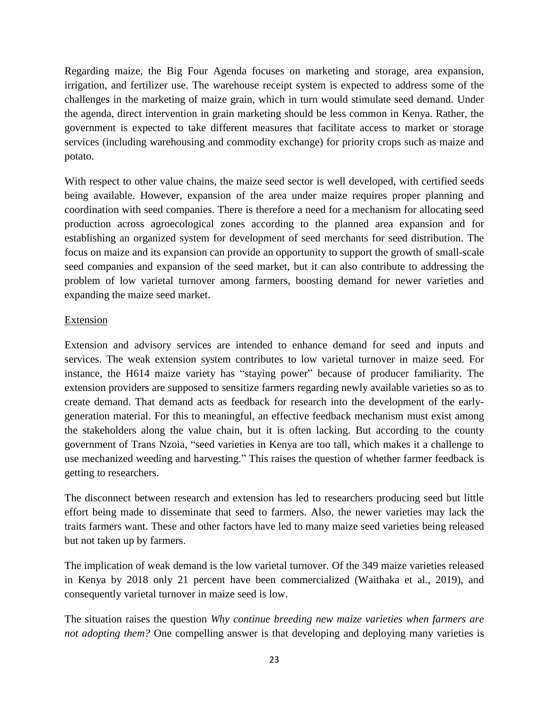Regarding maize, the Big Four Agenda focuses on marketing and storage, area expansion, irrigation, and fertilizer use. The warehouse receipt system is expected to address some of the challenges in the marketing of maize grain, which in turn would stimulate seed demand. Under the agenda, direct intervention in grain marketing should be less common in Kenya. Rather, the government is expected to take different measures that facilitate access to market or storage services (including warehousing and commodity exchange) for priority crops such as maize and potato.

With respect to other value chains, the maize seed sector is well developed, with certified seeds being available. However, expansion of the area under maize requires proper planning and coordination with seed companies. There is therefore a need for a mechanism for allocating seed production across agroecological zones according to the planned area expansion and for establishing an organized system for development of seed merchants for seed distribution. The focus on maize and its expansion can provide an opportunity to support the growth of small-scale seed companies and expansion of the seed market, but it can also contribute to addressing the problem of low varietal turnover among farmers, boosting demand for newer varieties and expanding the maize seed market.

## Extension

Extension and advisory services are intended to enhance demand for seed and inputs and services. The weak extension system contributes to low varietal turnover in maize seed. For instance, the H614 maize variety has "staying power" because of producer familiarity. The extension providers are supposed to sensitize farmers regarding newly available varieties so as to create demand. That demand acts as feedback for research into the development of the earlygeneration material. For this to meaningful, an effective feedback mechanism must exist among the stakeholders along the value chain, but it is often lacking. But according to the county government of Trans Nzoia, "seed varieties in Kenya are too tall, which makes it a challenge to use mechanized weeding and harvesting." This raises the question of whether farmer feedback is getting to researchers.

The disconnect between research and extension has led to researchers producing seed but little effort being made to disseminate that seed to farmers. Also, the newer varieties may lack the traits farmers want. These and other factors have led to many maize seed varieties being released but not taken up by farmers.

The implication of weak demand is the low varietal turnover. Of the 349 maize varieties released in Kenya by 2018 only 21 percent have been commercialized (Waithaka et al., 2019), and consequently varietal turnover in maize seed is low.

The situation raises the question *Why continue breeding new maize varieties when farmers are not adopting them?* One compelling answer is that developing and deploying many varieties is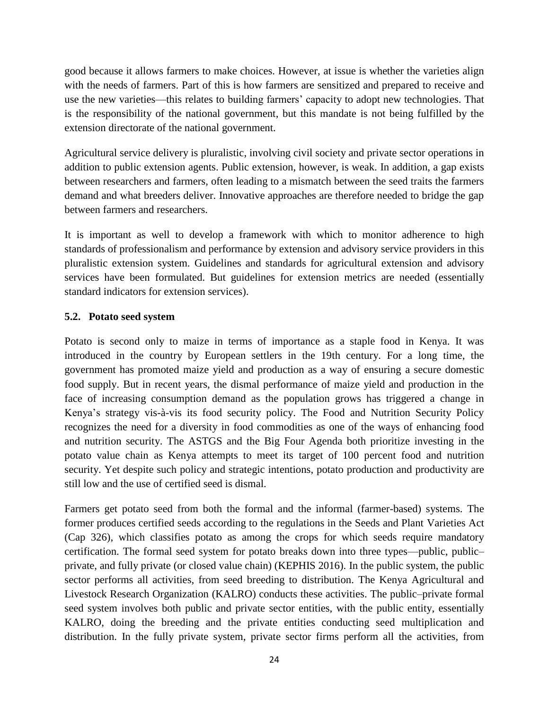good because it allows farmers to make choices. However, at issue is whether the varieties align with the needs of farmers. Part of this is how farmers are sensitized and prepared to receive and use the new varieties—this relates to building farmers' capacity to adopt new technologies. That is the responsibility of the national government, but this mandate is not being fulfilled by the extension directorate of the national government.

Agricultural service delivery is pluralistic, involving civil society and private sector operations in addition to public extension agents. Public extension, however, is weak. In addition, a gap exists between researchers and farmers, often leading to a mismatch between the seed traits the farmers demand and what breeders deliver. Innovative approaches are therefore needed to bridge the gap between farmers and researchers.

It is important as well to develop a framework with which to monitor adherence to high standards of professionalism and performance by extension and advisory service providers in this pluralistic extension system. Guidelines and standards for agricultural extension and advisory services have been formulated. But guidelines for extension metrics are needed (essentially standard indicators for extension services).

# <span id="page-31-0"></span>**5.2. Potato seed system**

Potato is second only to maize in terms of importance as a staple food in Kenya. It was introduced in the country by European settlers in the 19th century. For a long time, the government has promoted maize yield and production as a way of ensuring a secure domestic food supply. But in recent years, the dismal performance of maize yield and production in the face of increasing consumption demand as the population grows has triggered a change in Kenya's strategy vis-à-vis its food security policy. The Food and Nutrition Security Policy recognizes the need for a diversity in food commodities as one of the ways of enhancing food and nutrition security. The ASTGS and the Big Four Agenda both prioritize investing in the potato value chain as Kenya attempts to meet its target of 100 percent food and nutrition security. Yet despite such policy and strategic intentions, potato production and productivity are still low and the use of certified seed is dismal.

Farmers get potato seed from both the formal and the informal (farmer-based) systems. The former produces certified seeds according to the regulations in the Seeds and Plant Varieties Act (Cap 326), which classifies potato as among the crops for which seeds require mandatory certification. The formal seed system for potato breaks down into three types—public, public– private, and fully private (or closed value chain) (KEPHIS 2016). In the public system, the public sector performs all activities, from seed breeding to distribution. The Kenya Agricultural and Livestock Research Organization (KALRO) conducts these activities. The public–private formal seed system involves both public and private sector entities, with the public entity, essentially KALRO, doing the breeding and the private entities conducting seed multiplication and distribution. In the fully private system, private sector firms perform all the activities, from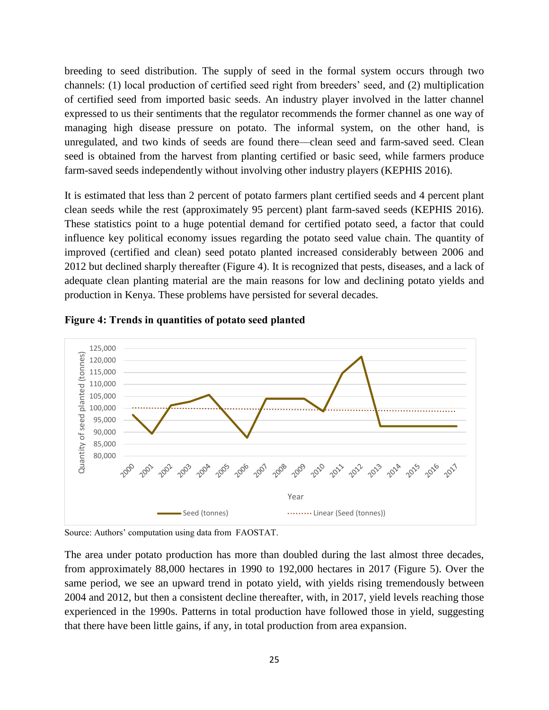breeding to seed distribution. The supply of seed in the formal system occurs through two channels: (1) local production of certified seed right from breeders' seed, and (2) multiplication of certified seed from imported basic seeds. An industry player involved in the latter channel expressed to us their sentiments that the regulator recommends the former channel as one way of managing high disease pressure on potato. The informal system, on the other hand, is unregulated, and two kinds of seeds are found there—clean seed and farm-saved seed. Clean seed is obtained from the harvest from planting certified or basic seed, while farmers produce farm-saved seeds independently without involving other industry players (KEPHIS 2016).

It is estimated that less than 2 percent of potato farmers plant certified seeds and 4 percent plant clean seeds while the rest (approximately 95 percent) plant farm-saved seeds (KEPHIS 2016). These statistics point to a huge potential demand for certified potato seed, a factor that could influence key political economy issues regarding the potato seed value chain. The quantity of improved (certified and clean) seed potato planted increased considerably between 2006 and 2012 but declined sharply thereafter (Figure 4). It is recognized that pests, diseases, and a lack of adequate clean planting material are the main reasons for low and declining potato yields and production in Kenya. These problems have persisted for several decades.



<span id="page-32-0"></span>

Source: Authors' computation using data from FAOSTAT.

The area under potato production has more than doubled during the last almost three decades, from approximately 88,000 hectares in 1990 to 192,000 hectares in 2017 (Figure 5). Over the same period, we see an upward trend in potato yield, with yields rising tremendously between 2004 and 2012, but then a consistent decline thereafter, with, in 2017, yield levels reaching those experienced in the 1990s. Patterns in total production have followed those in yield, suggesting that there have been little gains, if any, in total production from area expansion.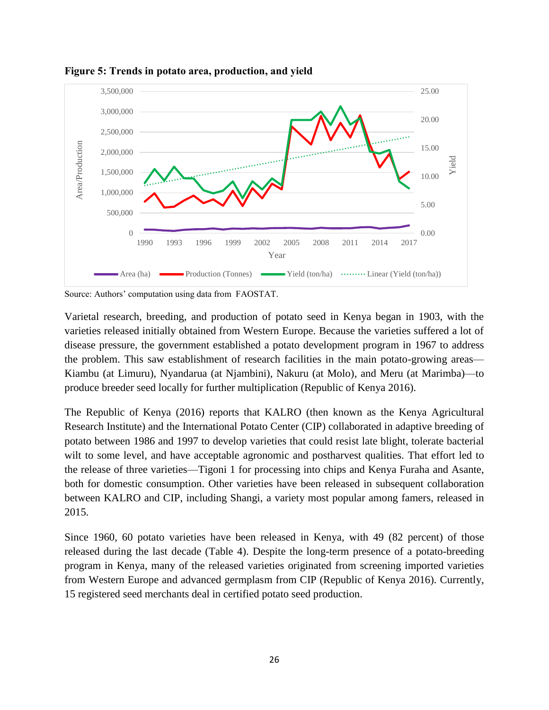

<span id="page-33-0"></span>**Figure 5: Trends in potato area, production, and yield**

Source: Authors' computation using data from FAOSTAT.

Varietal research, breeding, and production of potato seed in Kenya began in 1903, with the varieties released initially obtained from Western Europe. Because the varieties suffered a lot of disease pressure, the government established a potato development program in 1967 to address the problem. This saw establishment of research facilities in the main potato-growing areas— Kiambu (at Limuru), Nyandarua (at Njambini), Nakuru (at Molo), and Meru (at Marimba)—to produce breeder seed locally for further multiplication (Republic of Kenya 2016).

The Republic of Kenya (2016) reports that KALRO (then known as the Kenya Agricultural Research Institute) and the International Potato Center (CIP) collaborated in adaptive breeding of potato between 1986 and 1997 to develop varieties that could resist late blight, tolerate bacterial wilt to some level, and have acceptable agronomic and postharvest qualities. That effort led to the release of three varieties—Tigoni 1 for processing into chips and Kenya Furaha and Asante, both for domestic consumption. Other varieties have been released in subsequent collaboration between KALRO and CIP, including Shangi, a variety most popular among famers, released in 2015.

Since 1960, 60 potato varieties have been released in Kenya, with 49 (82 percent) of those released during the last decade (Table 4). Despite the long-term presence of a potato-breeding program in Kenya, many of the released varieties originated from screening imported varieties from Western Europe and advanced germplasm from CIP (Republic of Kenya 2016). Currently, 15 registered seed merchants deal in certified potato seed production.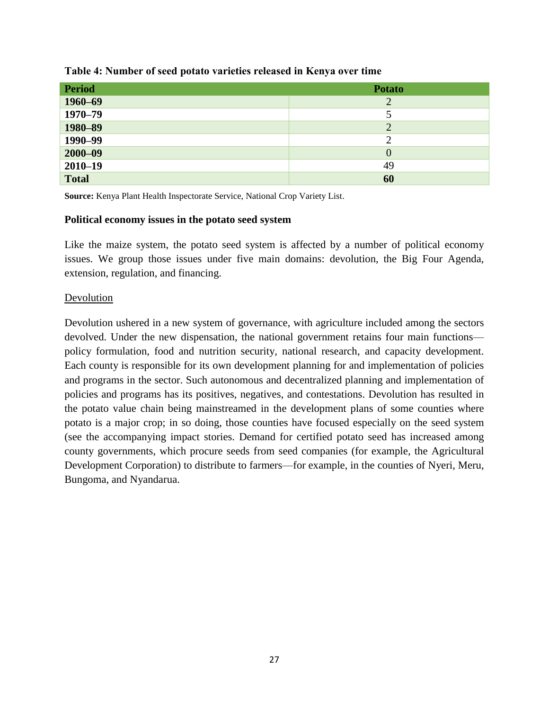| <b>Period</b> | <b>Potato</b> |
|---------------|---------------|
| 1960-69       | 2             |
| $1970 - 79$   |               |
| 1980-89       | 2             |
| 1990–99       |               |
| $2000 - 09$   |               |
| $2010 - 19$   | 49            |
| <b>Total</b>  | 60            |

#### <span id="page-34-0"></span>**Table 4: Number of seed potato varieties released in Kenya over time**

**Source:** Kenya Plant Health Inspectorate Service, National Crop Variety List.

#### **Political economy issues in the potato seed system**

Like the maize system, the potato seed system is affected by a number of political economy issues. We group those issues under five main domains: devolution, the Big Four Agenda, extension, regulation, and financing.

#### Devolution

Devolution ushered in a new system of governance, with agriculture included among the sectors devolved. Under the new dispensation, the national government retains four main functions policy formulation, food and nutrition security, national research, and capacity development. Each county is responsible for its own development planning for and implementation of policies and programs in the sector. Such autonomous and decentralized planning and implementation of policies and programs has its positives, negatives, and contestations. Devolution has resulted in the potato value chain being mainstreamed in the development plans of some counties where potato is a major crop; in so doing, those counties have focused especially on the seed system (see the accompanying impact stories. Demand for certified potato seed has increased among county governments, which procure seeds from seed companies (for example, the Agricultural Development Corporation) to distribute to farmers—for example, in the counties of Nyeri, Meru, Bungoma, and Nyandarua.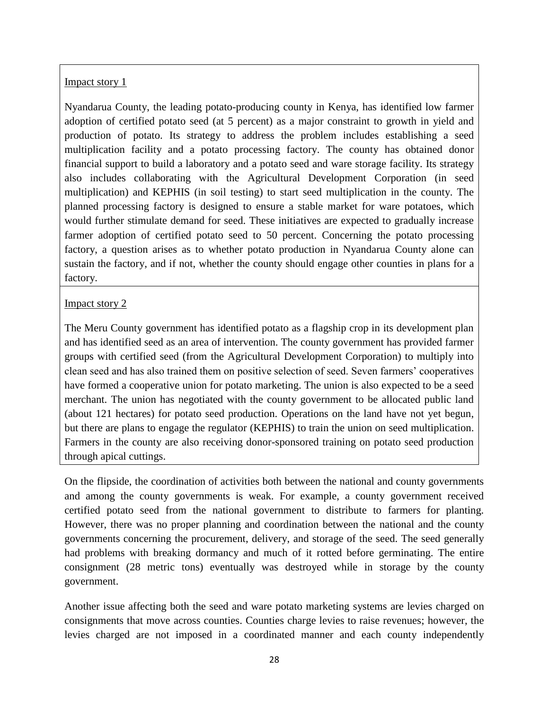# Impact story 1

Nyandarua County, the leading potato-producing county in Kenya, has identified low farmer adoption of certified potato seed (at 5 percent) as a major constraint to growth in yield and production of potato. Its strategy to address the problem includes establishing a seed multiplication facility and a potato processing factory. The county has obtained donor financial support to build a laboratory and a potato seed and ware storage facility. Its strategy also includes collaborating with the Agricultural Development Corporation (in seed multiplication) and KEPHIS (in soil testing) to start seed multiplication in the county. The planned processing factory is designed to ensure a stable market for ware potatoes, which would further stimulate demand for seed. These initiatives are expected to gradually increase farmer adoption of certified potato seed to 50 percent. Concerning the potato processing factory, a question arises as to whether potato production in Nyandarua County alone can sustain the factory, and if not, whether the county should engage other counties in plans for a factory.

# Impact story 2

The Meru County government has identified potato as a flagship crop in its development plan and has identified seed as an area of intervention. The county government has provided farmer groups with certified seed (from the Agricultural Development Corporation) to multiply into clean seed and has also trained them on positive selection of seed. Seven farmers' cooperatives have formed a cooperative union for potato marketing. The union is also expected to be a seed merchant. The union has negotiated with the county government to be allocated public land (about 121 hectares) for potato seed production. Operations on the land have not yet begun, but there are plans to engage the regulator (KEPHIS) to train the union on seed multiplication. Farmers in the county are also receiving donor-sponsored training on potato seed production through apical cuttings.

On the flipside, the coordination of activities both between the national and county governments and among the county governments is weak. For example, a county government received certified potato seed from the national government to distribute to farmers for planting. However, there was no proper planning and coordination between the national and the county governments concerning the procurement, delivery, and storage of the seed. The seed generally had problems with breaking dormancy and much of it rotted before germinating. The entire consignment (28 metric tons) eventually was destroyed while in storage by the county government.

Another issue affecting both the seed and ware potato marketing systems are levies charged on consignments that move across counties. Counties charge levies to raise revenues; however, the levies charged are not imposed in a coordinated manner and each county independently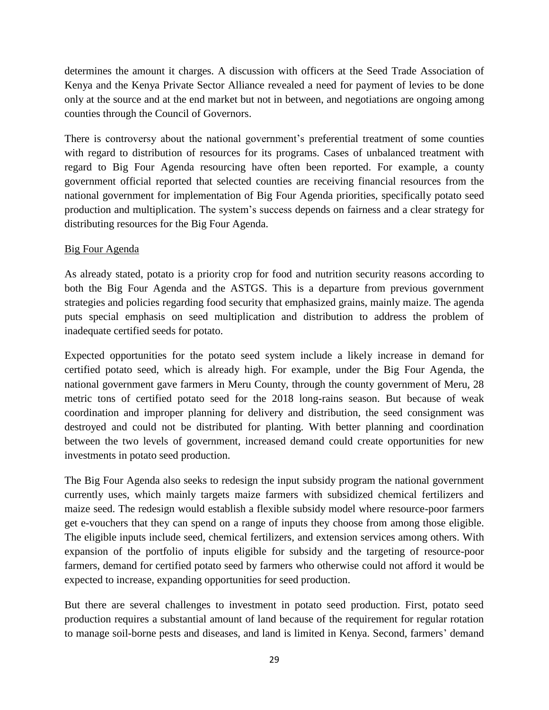determines the amount it charges. A discussion with officers at the Seed Trade Association of Kenya and the Kenya Private Sector Alliance revealed a need for payment of levies to be done only at the source and at the end market but not in between, and negotiations are ongoing among counties through the Council of Governors.

There is controversy about the national government's preferential treatment of some counties with regard to distribution of resources for its programs. Cases of unbalanced treatment with regard to Big Four Agenda resourcing have often been reported. For example, a county government official reported that selected counties are receiving financial resources from the national government for implementation of Big Four Agenda priorities, specifically potato seed production and multiplication. The system's success depends on fairness and a clear strategy for distributing resources for the Big Four Agenda.

# Big Four Agenda

As already stated, potato is a priority crop for food and nutrition security reasons according to both the Big Four Agenda and the ASTGS. This is a departure from previous government strategies and policies regarding food security that emphasized grains, mainly maize. The agenda puts special emphasis on seed multiplication and distribution to address the problem of inadequate certified seeds for potato.

Expected opportunities for the potato seed system include a likely increase in demand for certified potato seed, which is already high. For example, under the Big Four Agenda, the national government gave farmers in Meru County, through the county government of Meru, 28 metric tons of certified potato seed for the 2018 long-rains season. But because of weak coordination and improper planning for delivery and distribution, the seed consignment was destroyed and could not be distributed for planting. With better planning and coordination between the two levels of government, increased demand could create opportunities for new investments in potato seed production.

The Big Four Agenda also seeks to redesign the input subsidy program the national government currently uses, which mainly targets maize farmers with subsidized chemical fertilizers and maize seed. The redesign would establish a flexible subsidy model where resource-poor farmers get e-vouchers that they can spend on a range of inputs they choose from among those eligible. The eligible inputs include seed, chemical fertilizers, and extension services among others. With expansion of the portfolio of inputs eligible for subsidy and the targeting of resource-poor farmers, demand for certified potato seed by farmers who otherwise could not afford it would be expected to increase, expanding opportunities for seed production.

But there are several challenges to investment in potato seed production. First, potato seed production requires a substantial amount of land because of the requirement for regular rotation to manage soil-borne pests and diseases, and land is limited in Kenya. Second, farmers' demand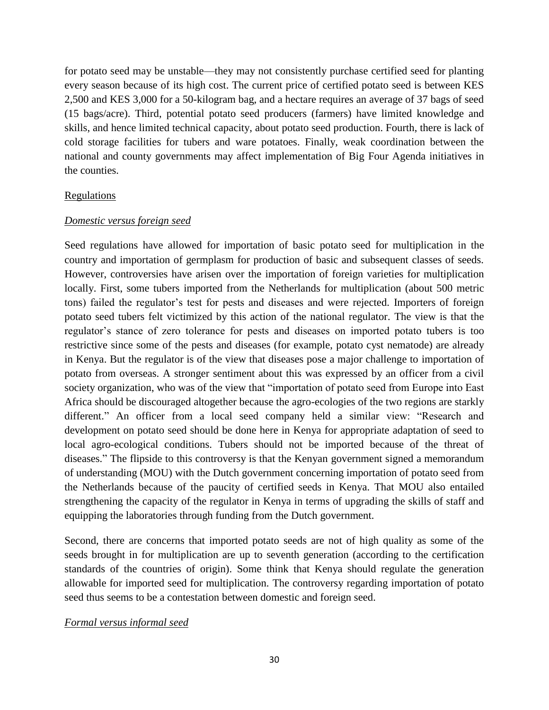for potato seed may be unstable—they may not consistently purchase certified seed for planting every season because of its high cost. The current price of certified potato seed is between KES 2,500 and KES 3,000 for a 50-kilogram bag, and a hectare requires an average of 37 bags of seed (15 bags/acre). Third, potential potato seed producers (farmers) have limited knowledge and skills, and hence limited technical capacity, about potato seed production. Fourth, there is lack of cold storage facilities for tubers and ware potatoes. Finally, weak coordination between the national and county governments may affect implementation of Big Four Agenda initiatives in the counties.

#### **Regulations**

#### *Domestic versus foreign seed*

Seed regulations have allowed for importation of basic potato seed for multiplication in the country and importation of germplasm for production of basic and subsequent classes of seeds. However, controversies have arisen over the importation of foreign varieties for multiplication locally. First, some tubers imported from the Netherlands for multiplication (about 500 metric tons) failed the regulator's test for pests and diseases and were rejected. Importers of foreign potato seed tubers felt victimized by this action of the national regulator. The view is that the regulator's stance of zero tolerance for pests and diseases on imported potato tubers is too restrictive since some of the pests and diseases (for example, potato cyst nematode) are already in Kenya. But the regulator is of the view that diseases pose a major challenge to importation of potato from overseas. A stronger sentiment about this was expressed by an officer from a civil society organization, who was of the view that "importation of potato seed from Europe into East Africa should be discouraged altogether because the agro-ecologies of the two regions are starkly different." An officer from a local seed company held a similar view: "Research and development on potato seed should be done here in Kenya for appropriate adaptation of seed to local agro-ecological conditions. Tubers should not be imported because of the threat of diseases." The flipside to this controversy is that the Kenyan government signed a memorandum of understanding (MOU) with the Dutch government concerning importation of potato seed from the Netherlands because of the paucity of certified seeds in Kenya. That MOU also entailed strengthening the capacity of the regulator in Kenya in terms of upgrading the skills of staff and equipping the laboratories through funding from the Dutch government.

Second, there are concerns that imported potato seeds are not of high quality as some of the seeds brought in for multiplication are up to seventh generation (according to the certification standards of the countries of origin). Some think that Kenya should regulate the generation allowable for imported seed for multiplication. The controversy regarding importation of potato seed thus seems to be a contestation between domestic and foreign seed.

#### *Formal versus informal seed*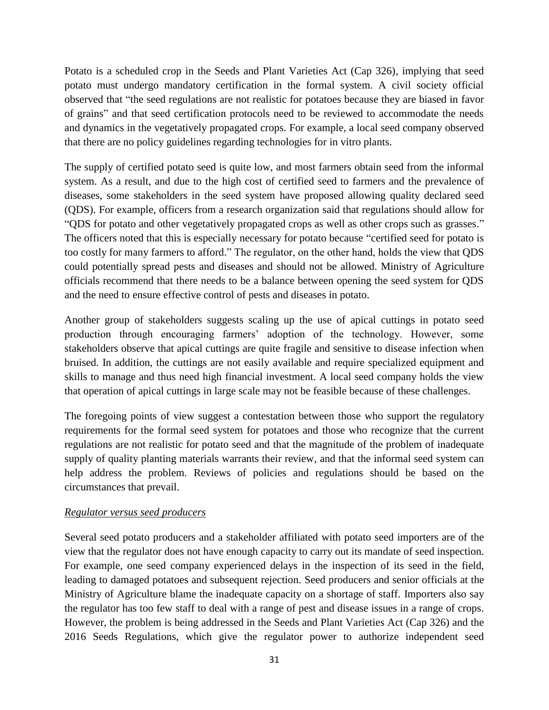Potato is a scheduled crop in the Seeds and Plant Varieties Act (Cap 326), implying that seed potato must undergo mandatory certification in the formal system. A civil society official observed that "the seed regulations are not realistic for potatoes because they are biased in favor of grains" and that seed certification protocols need to be reviewed to accommodate the needs and dynamics in the vegetatively propagated crops. For example, a local seed company observed that there are no policy guidelines regarding technologies for in vitro plants.

The supply of certified potato seed is quite low, and most farmers obtain seed from the informal system. As a result, and due to the high cost of certified seed to farmers and the prevalence of diseases, some stakeholders in the seed system have proposed allowing quality declared seed (QDS). For example, officers from a research organization said that regulations should allow for "QDS for potato and other vegetatively propagated crops as well as other crops such as grasses." The officers noted that this is especially necessary for potato because "certified seed for potato is too costly for many farmers to afford." The regulator, on the other hand, holds the view that QDS could potentially spread pests and diseases and should not be allowed. Ministry of Agriculture officials recommend that there needs to be a balance between opening the seed system for QDS and the need to ensure effective control of pests and diseases in potato.

Another group of stakeholders suggests scaling up the use of apical cuttings in potato seed production through encouraging farmers' adoption of the technology. However, some stakeholders observe that apical cuttings are quite fragile and sensitive to disease infection when bruised. In addition, the cuttings are not easily available and require specialized equipment and skills to manage and thus need high financial investment. A local seed company holds the view that operation of apical cuttings in large scale may not be feasible because of these challenges.

The foregoing points of view suggest a contestation between those who support the regulatory requirements for the formal seed system for potatoes and those who recognize that the current regulations are not realistic for potato seed and that the magnitude of the problem of inadequate supply of quality planting materials warrants their review, and that the informal seed system can help address the problem. Reviews of policies and regulations should be based on the circumstances that prevail.

# *Regulator versus seed producers*

Several seed potato producers and a stakeholder affiliated with potato seed importers are of the view that the regulator does not have enough capacity to carry out its mandate of seed inspection. For example, one seed company experienced delays in the inspection of its seed in the field, leading to damaged potatoes and subsequent rejection. Seed producers and senior officials at the Ministry of Agriculture blame the inadequate capacity on a shortage of staff. Importers also say the regulator has too few staff to deal with a range of pest and disease issues in a range of crops. However, the problem is being addressed in the Seeds and Plant Varieties Act (Cap 326) and the 2016 Seeds Regulations, which give the regulator power to authorize independent seed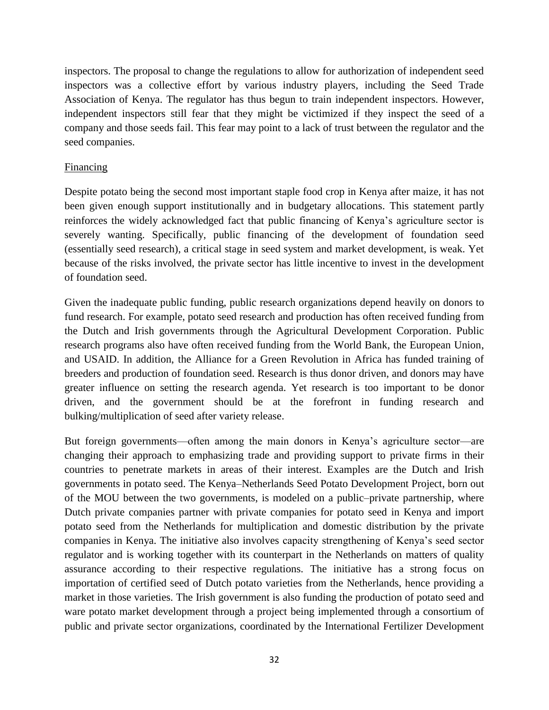inspectors. The proposal to change the regulations to allow for authorization of independent seed inspectors was a collective effort by various industry players, including the Seed Trade Association of Kenya. The regulator has thus begun to train independent inspectors. However, independent inspectors still fear that they might be victimized if they inspect the seed of a company and those seeds fail. This fear may point to a lack of trust between the regulator and the seed companies.

#### Financing

Despite potato being the second most important staple food crop in Kenya after maize, it has not been given enough support institutionally and in budgetary allocations. This statement partly reinforces the widely acknowledged fact that public financing of Kenya's agriculture sector is severely wanting. Specifically, public financing of the development of foundation seed (essentially seed research), a critical stage in seed system and market development, is weak. Yet because of the risks involved, the private sector has little incentive to invest in the development of foundation seed.

Given the inadequate public funding, public research organizations depend heavily on donors to fund research. For example, potato seed research and production has often received funding from the Dutch and Irish governments through the Agricultural Development Corporation. Public research programs also have often received funding from the World Bank, the European Union, and USAID. In addition, the Alliance for a Green Revolution in Africa has funded training of breeders and production of foundation seed. Research is thus donor driven, and donors may have greater influence on setting the research agenda. Yet research is too important to be donor driven, and the government should be at the forefront in funding research and bulking/multiplication of seed after variety release.

But foreign governments—often among the main donors in Kenya's agriculture sector—are changing their approach to emphasizing trade and providing support to private firms in their countries to penetrate markets in areas of their interest. Examples are the Dutch and Irish governments in potato seed. The Kenya–Netherlands Seed Potato Development Project, born out of the MOU between the two governments, is modeled on a public–private partnership, where Dutch private companies partner with private companies for potato seed in Kenya and import potato seed from the Netherlands for multiplication and domestic distribution by the private companies in Kenya. The initiative also involves capacity strengthening of Kenya's seed sector regulator and is working together with its counterpart in the Netherlands on matters of quality assurance according to their respective regulations. The initiative has a strong focus on importation of certified seed of Dutch potato varieties from the Netherlands, hence providing a market in those varieties. The Irish government is also funding the production of potato seed and ware potato market development through a project being implemented through a consortium of public and private sector organizations, coordinated by the International Fertilizer Development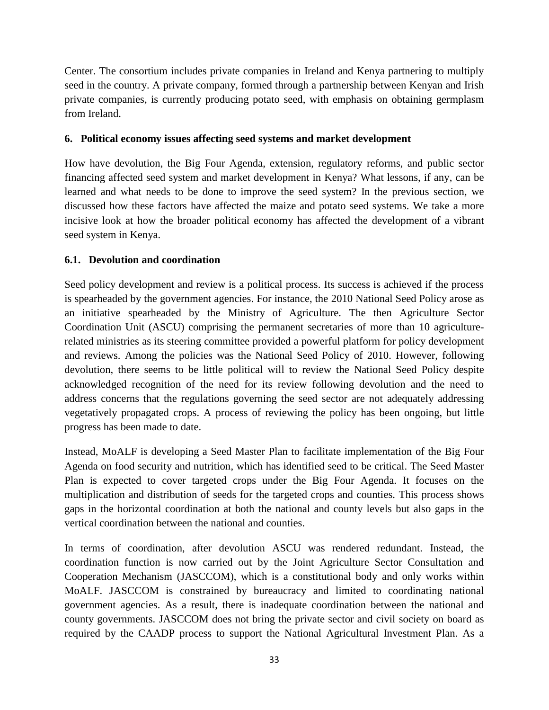Center. The consortium includes private companies in Ireland and Kenya partnering to multiply seed in the country. A private company, formed through a partnership between Kenyan and Irish private companies, is currently producing potato seed, with emphasis on obtaining germplasm from Ireland.

# <span id="page-40-0"></span>**6. Political economy issues affecting seed systems and market development**

How have devolution, the Big Four Agenda, extension, regulatory reforms, and public sector financing affected seed system and market development in Kenya? What lessons, if any, can be learned and what needs to be done to improve the seed system? In the previous section, we discussed how these factors have affected the maize and potato seed systems. We take a more incisive look at how the broader political economy has affected the development of a vibrant seed system in Kenya.

# <span id="page-40-1"></span>**6.1. Devolution and coordination**

Seed policy development and review is a political process. Its success is achieved if the process is spearheaded by the government agencies. For instance, the 2010 National Seed Policy arose as an initiative spearheaded by the Ministry of Agriculture. The then Agriculture Sector Coordination Unit (ASCU) comprising the permanent secretaries of more than 10 agriculturerelated ministries as its steering committee provided a powerful platform for policy development and reviews. Among the policies was the National Seed Policy of 2010. However, following devolution, there seems to be little political will to review the National Seed Policy despite acknowledged recognition of the need for its review following devolution and the need to address concerns that the regulations governing the seed sector are not adequately addressing vegetatively propagated crops. A process of reviewing the policy has been ongoing, but little progress has been made to date.

Instead, MoALF is developing a Seed Master Plan to facilitate implementation of the Big Four Agenda on food security and nutrition, which has identified seed to be critical. The Seed Master Plan is expected to cover targeted crops under the Big Four Agenda. It focuses on the multiplication and distribution of seeds for the targeted crops and counties. This process shows gaps in the horizontal coordination at both the national and county levels but also gaps in the vertical coordination between the national and counties.

In terms of coordination, after devolution ASCU was rendered redundant. Instead, the coordination function is now carried out by the Joint Agriculture Sector Consultation and Cooperation Mechanism (JASCCOM), which is a constitutional body and only works within MoALF. JASCCOM is constrained by bureaucracy and limited to coordinating national government agencies. As a result, there is inadequate coordination between the national and county governments. JASCCOM does not bring the private sector and civil society on board as required by the CAADP process to support the National Agricultural Investment Plan. As a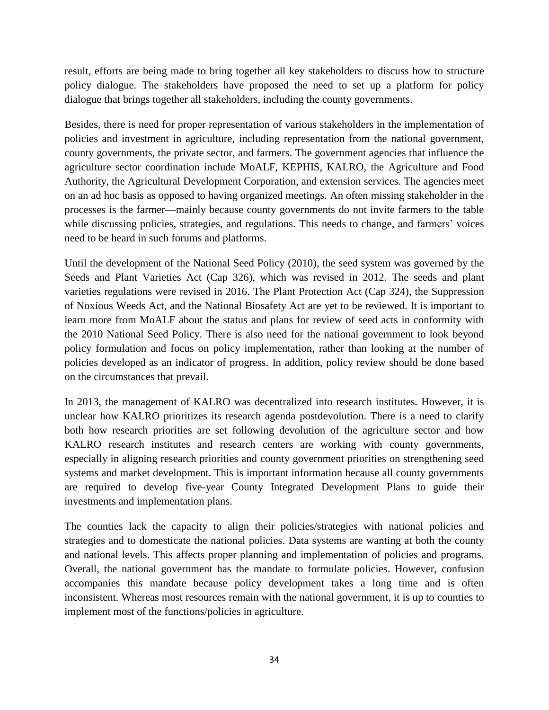result, efforts are being made to bring together all key stakeholders to discuss how to structure policy dialogue. The stakeholders have proposed the need to set up a platform for policy dialogue that brings together all stakeholders, including the county governments.

Besides, there is need for proper representation of various stakeholders in the implementation of policies and investment in agriculture, including representation from the national government, county governments, the private sector, and farmers. The government agencies that influence the agriculture sector coordination include MoALF, KEPHIS, KALRO, the Agriculture and Food Authority, the Agricultural Development Corporation, and extension services. The agencies meet on an ad hoc basis as opposed to having organized meetings. An often missing stakeholder in the processes is the farmer—mainly because county governments do not invite farmers to the table while discussing policies, strategies, and regulations. This needs to change, and farmers' voices need to be heard in such forums and platforms.

Until the development of the National Seed Policy (2010), the seed system was governed by the Seeds and Plant Varieties Act (Cap 326), which was revised in 2012. The seeds and plant varieties regulations were revised in 2016. The Plant Protection Act (Cap 324), the Suppression of Noxious Weeds Act, and the National Biosafety Act are yet to be reviewed. It is important to learn more from MoALF about the status and plans for review of seed acts in conformity with the 2010 National Seed Policy. There is also need for the national government to look beyond policy formulation and focus on policy implementation, rather than looking at the number of policies developed as an indicator of progress. In addition, policy review should be done based on the circumstances that prevail.

In 2013, the management of KALRO was decentralized into research institutes. However, it is unclear how KALRO prioritizes its research agenda postdevolution. There is a need to clarify both how research priorities are set following devolution of the agriculture sector and how KALRO research institutes and research centers are working with county governments, especially in aligning research priorities and county government priorities on strengthening seed systems and market development. This is important information because all county governments are required to develop five-year County Integrated Development Plans to guide their investments and implementation plans.

The counties lack the capacity to align their policies/strategies with national policies and strategies and to domesticate the national policies. Data systems are wanting at both the county and national levels. This affects proper planning and implementation of policies and programs. Overall, the national government has the mandate to formulate policies. However, confusion accompanies this mandate because policy development takes a long time and is often inconsistent. Whereas most resources remain with the national government, it is up to counties to implement most of the functions/policies in agriculture.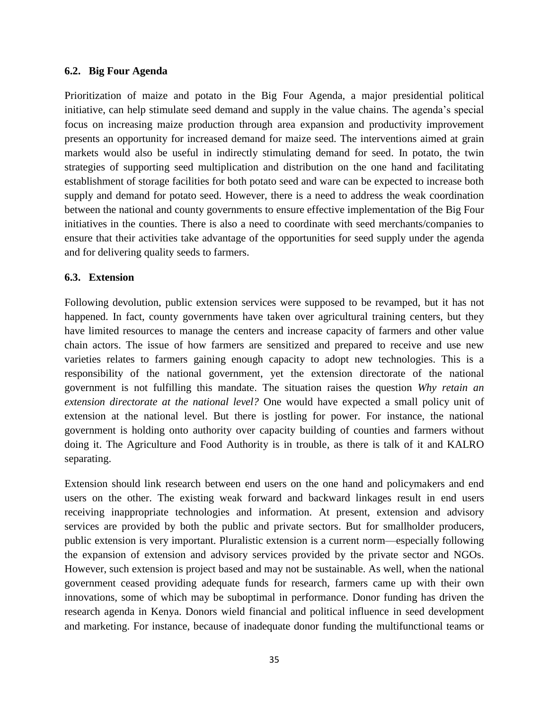#### <span id="page-42-0"></span>**6.2. Big Four Agenda**

Prioritization of maize and potato in the Big Four Agenda, a major presidential political initiative, can help stimulate seed demand and supply in the value chains. The agenda's special focus on increasing maize production through area expansion and productivity improvement presents an opportunity for increased demand for maize seed. The interventions aimed at grain markets would also be useful in indirectly stimulating demand for seed. In potato, the twin strategies of supporting seed multiplication and distribution on the one hand and facilitating establishment of storage facilities for both potato seed and ware can be expected to increase both supply and demand for potato seed. However, there is a need to address the weak coordination between the national and county governments to ensure effective implementation of the Big Four initiatives in the counties. There is also a need to coordinate with seed merchants/companies to ensure that their activities take advantage of the opportunities for seed supply under the agenda and for delivering quality seeds to farmers.

#### <span id="page-42-1"></span>**6.3. Extension**

Following devolution, public extension services were supposed to be revamped, but it has not happened. In fact, county governments have taken over agricultural training centers, but they have limited resources to manage the centers and increase capacity of farmers and other value chain actors. The issue of how farmers are sensitized and prepared to receive and use new varieties relates to farmers gaining enough capacity to adopt new technologies. This is a responsibility of the national government, yet the extension directorate of the national government is not fulfilling this mandate. The situation raises the question *Why retain an extension directorate at the national level?* One would have expected a small policy unit of extension at the national level. But there is jostling for power. For instance, the national government is holding onto authority over capacity building of counties and farmers without doing it. The Agriculture and Food Authority is in trouble, as there is talk of it and KALRO separating.

Extension should link research between end users on the one hand and policymakers and end users on the other. The existing weak forward and backward linkages result in end users receiving inappropriate technologies and information. At present, extension and advisory services are provided by both the public and private sectors. But for smallholder producers, public extension is very important. Pluralistic extension is a current norm—especially following the expansion of extension and advisory services provided by the private sector and NGOs. However, such extension is project based and may not be sustainable. As well, when the national government ceased providing adequate funds for research, farmers came up with their own innovations, some of which may be suboptimal in performance. Donor funding has driven the research agenda in Kenya. Donors wield financial and political influence in seed development and marketing. For instance, because of inadequate donor funding the multifunctional teams or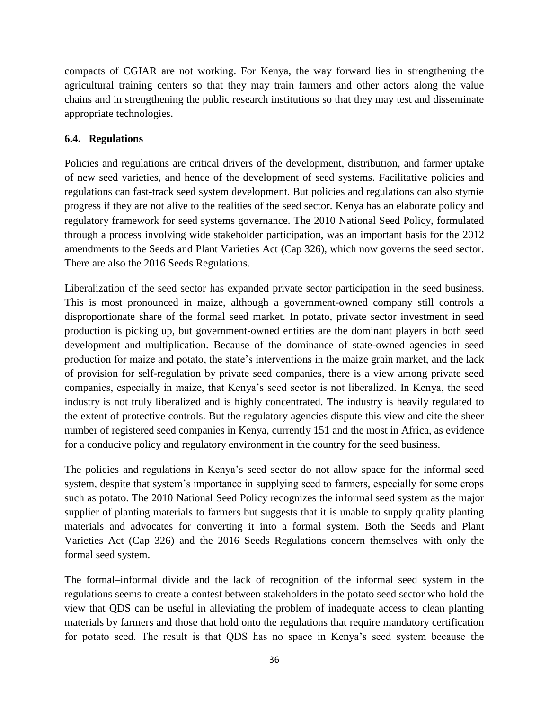compacts of CGIAR are not working. For Kenya, the way forward lies in strengthening the agricultural training centers so that they may train farmers and other actors along the value chains and in strengthening the public research institutions so that they may test and disseminate appropriate technologies.

# <span id="page-43-0"></span>**6.4. Regulations**

Policies and regulations are critical drivers of the development, distribution, and farmer uptake of new seed varieties, and hence of the development of seed systems. Facilitative policies and regulations can fast-track seed system development. But policies and regulations can also stymie progress if they are not alive to the realities of the seed sector. Kenya has an elaborate policy and regulatory framework for seed systems governance. The 2010 National Seed Policy, formulated through a process involving wide stakeholder participation, was an important basis for the 2012 amendments to the Seeds and Plant Varieties Act (Cap 326), which now governs the seed sector. There are also the 2016 Seeds Regulations.

Liberalization of the seed sector has expanded private sector participation in the seed business. This is most pronounced in maize, although a government-owned company still controls a disproportionate share of the formal seed market. In potato, private sector investment in seed production is picking up, but government-owned entities are the dominant players in both seed development and multiplication. Because of the dominance of state-owned agencies in seed production for maize and potato, the state's interventions in the maize grain market, and the lack of provision for self-regulation by private seed companies, there is a view among private seed companies, especially in maize, that Kenya's seed sector is not liberalized. In Kenya, the seed industry is not truly liberalized and is highly concentrated. The industry is heavily regulated to the extent of protective controls. But the regulatory agencies dispute this view and cite the sheer number of registered seed companies in Kenya, currently 151 and the most in Africa, as evidence for a conducive policy and regulatory environment in the country for the seed business.

The policies and regulations in Kenya's seed sector do not allow space for the informal seed system, despite that system's importance in supplying seed to farmers, especially for some crops such as potato. The 2010 National Seed Policy recognizes the informal seed system as the major supplier of planting materials to farmers but suggests that it is unable to supply quality planting materials and advocates for converting it into a formal system. Both the Seeds and Plant Varieties Act (Cap 326) and the 2016 Seeds Regulations concern themselves with only the formal seed system.

The formal–informal divide and the lack of recognition of the informal seed system in the regulations seems to create a contest between stakeholders in the potato seed sector who hold the view that QDS can be useful in alleviating the problem of inadequate access to clean planting materials by farmers and those that hold onto the regulations that require mandatory certification for potato seed. The result is that QDS has no space in Kenya's seed system because the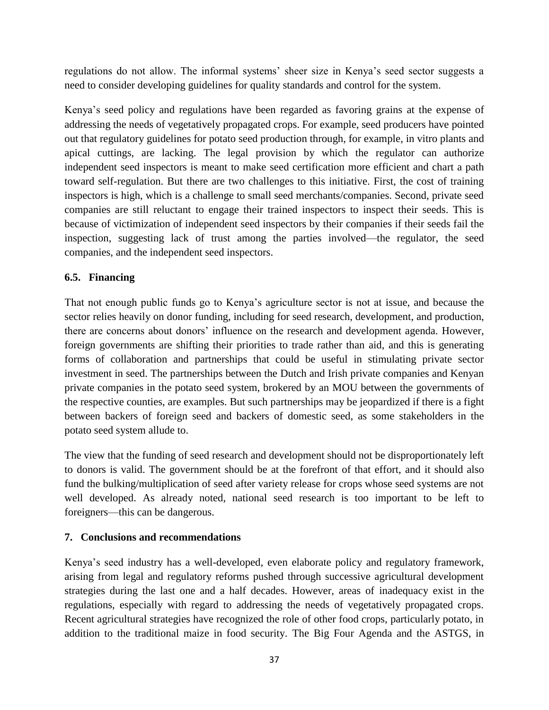regulations do not allow. The informal systems' sheer size in Kenya's seed sector suggests a need to consider developing guidelines for quality standards and control for the system.

Kenya's seed policy and regulations have been regarded as favoring grains at the expense of addressing the needs of vegetatively propagated crops. For example, seed producers have pointed out that regulatory guidelines for potato seed production through, for example, in vitro plants and apical cuttings, are lacking. The legal provision by which the regulator can authorize independent seed inspectors is meant to make seed certification more efficient and chart a path toward self-regulation. But there are two challenges to this initiative. First, the cost of training inspectors is high, which is a challenge to small seed merchants/companies. Second, private seed companies are still reluctant to engage their trained inspectors to inspect their seeds. This is because of victimization of independent seed inspectors by their companies if their seeds fail the inspection, suggesting lack of trust among the parties involved—the regulator, the seed companies, and the independent seed inspectors.

# <span id="page-44-0"></span>**6.5. Financing**

That not enough public funds go to Kenya's agriculture sector is not at issue, and because the sector relies heavily on donor funding, including for seed research, development, and production, there are concerns about donors' influence on the research and development agenda. However, foreign governments are shifting their priorities to trade rather than aid, and this is generating forms of collaboration and partnerships that could be useful in stimulating private sector investment in seed. The partnerships between the Dutch and Irish private companies and Kenyan private companies in the potato seed system, brokered by an MOU between the governments of the respective counties, are examples. But such partnerships may be jeopardized if there is a fight between backers of foreign seed and backers of domestic seed, as some stakeholders in the potato seed system allude to.

The view that the funding of seed research and development should not be disproportionately left to donors is valid. The government should be at the forefront of that effort, and it should also fund the bulking/multiplication of seed after variety release for crops whose seed systems are not well developed. As already noted, national seed research is too important to be left to foreigners—this can be dangerous.

# <span id="page-44-1"></span>**7. Conclusions and recommendations**

Kenya's seed industry has a well-developed, even elaborate policy and regulatory framework, arising from legal and regulatory reforms pushed through successive agricultural development strategies during the last one and a half decades. However, areas of inadequacy exist in the regulations, especially with regard to addressing the needs of vegetatively propagated crops. Recent agricultural strategies have recognized the role of other food crops, particularly potato, in addition to the traditional maize in food security. The Big Four Agenda and the ASTGS, in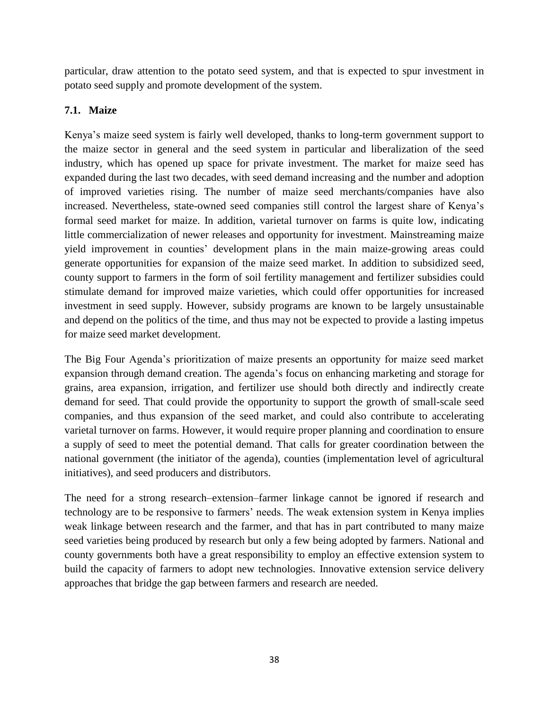particular, draw attention to the potato seed system, and that is expected to spur investment in potato seed supply and promote development of the system.

# <span id="page-45-0"></span>**7.1. Maize**

Kenya's maize seed system is fairly well developed, thanks to long-term government support to the maize sector in general and the seed system in particular and liberalization of the seed industry, which has opened up space for private investment. The market for maize seed has expanded during the last two decades, with seed demand increasing and the number and adoption of improved varieties rising. The number of maize seed merchants/companies have also increased. Nevertheless, state-owned seed companies still control the largest share of Kenya's formal seed market for maize. In addition, varietal turnover on farms is quite low, indicating little commercialization of newer releases and opportunity for investment. Mainstreaming maize yield improvement in counties' development plans in the main maize-growing areas could generate opportunities for expansion of the maize seed market. In addition to subsidized seed, county support to farmers in the form of soil fertility management and fertilizer subsidies could stimulate demand for improved maize varieties, which could offer opportunities for increased investment in seed supply. However, subsidy programs are known to be largely unsustainable and depend on the politics of the time, and thus may not be expected to provide a lasting impetus for maize seed market development.

The Big Four Agenda's prioritization of maize presents an opportunity for maize seed market expansion through demand creation. The agenda's focus on enhancing marketing and storage for grains, area expansion, irrigation, and fertilizer use should both directly and indirectly create demand for seed. That could provide the opportunity to support the growth of small-scale seed companies, and thus expansion of the seed market, and could also contribute to accelerating varietal turnover on farms. However, it would require proper planning and coordination to ensure a supply of seed to meet the potential demand. That calls for greater coordination between the national government (the initiator of the agenda), counties (implementation level of agricultural initiatives), and seed producers and distributors.

The need for a strong research–extension–farmer linkage cannot be ignored if research and technology are to be responsive to farmers' needs. The weak extension system in Kenya implies weak linkage between research and the farmer, and that has in part contributed to many maize seed varieties being produced by research but only a few being adopted by farmers. National and county governments both have a great responsibility to employ an effective extension system to build the capacity of farmers to adopt new technologies. Innovative extension service delivery approaches that bridge the gap between farmers and research are needed.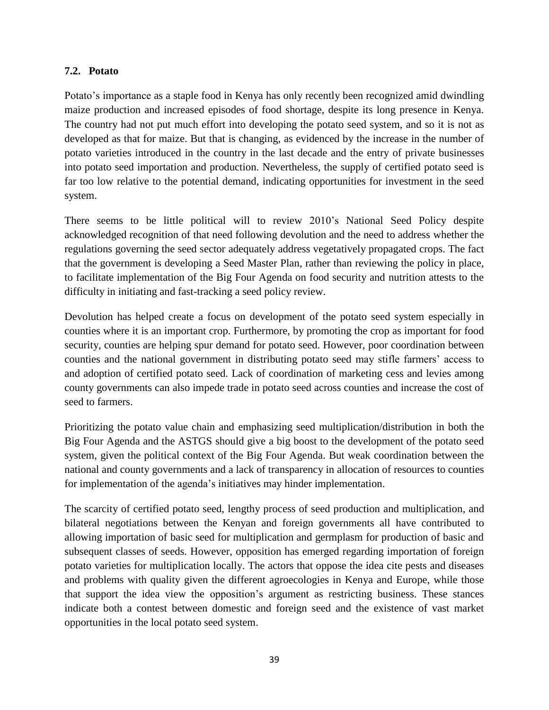## <span id="page-46-0"></span>**7.2. Potato**

Potato's importance as a staple food in Kenya has only recently been recognized amid dwindling maize production and increased episodes of food shortage, despite its long presence in Kenya. The country had not put much effort into developing the potato seed system, and so it is not as developed as that for maize. But that is changing, as evidenced by the increase in the number of potato varieties introduced in the country in the last decade and the entry of private businesses into potato seed importation and production. Nevertheless, the supply of certified potato seed is far too low relative to the potential demand, indicating opportunities for investment in the seed system.

There seems to be little political will to review 2010's National Seed Policy despite acknowledged recognition of that need following devolution and the need to address whether the regulations governing the seed sector adequately address vegetatively propagated crops. The fact that the government is developing a Seed Master Plan, rather than reviewing the policy in place, to facilitate implementation of the Big Four Agenda on food security and nutrition attests to the difficulty in initiating and fast-tracking a seed policy review.

Devolution has helped create a focus on development of the potato seed system especially in counties where it is an important crop. Furthermore, by promoting the crop as important for food security, counties are helping spur demand for potato seed. However, poor coordination between counties and the national government in distributing potato seed may stifle farmers' access to and adoption of certified potato seed. Lack of coordination of marketing cess and levies among county governments can also impede trade in potato seed across counties and increase the cost of seed to farmers.

Prioritizing the potato value chain and emphasizing seed multiplication/distribution in both the Big Four Agenda and the ASTGS should give a big boost to the development of the potato seed system, given the political context of the Big Four Agenda. But weak coordination between the national and county governments and a lack of transparency in allocation of resources to counties for implementation of the agenda's initiatives may hinder implementation.

The scarcity of certified potato seed, lengthy process of seed production and multiplication, and bilateral negotiations between the Kenyan and foreign governments all have contributed to allowing importation of basic seed for multiplication and germplasm for production of basic and subsequent classes of seeds. However, opposition has emerged regarding importation of foreign potato varieties for multiplication locally. The actors that oppose the idea cite pests and diseases and problems with quality given the different agroecologies in Kenya and Europe, while those that support the idea view the opposition's argument as restricting business. These stances indicate both a contest between domestic and foreign seed and the existence of vast market opportunities in the local potato seed system.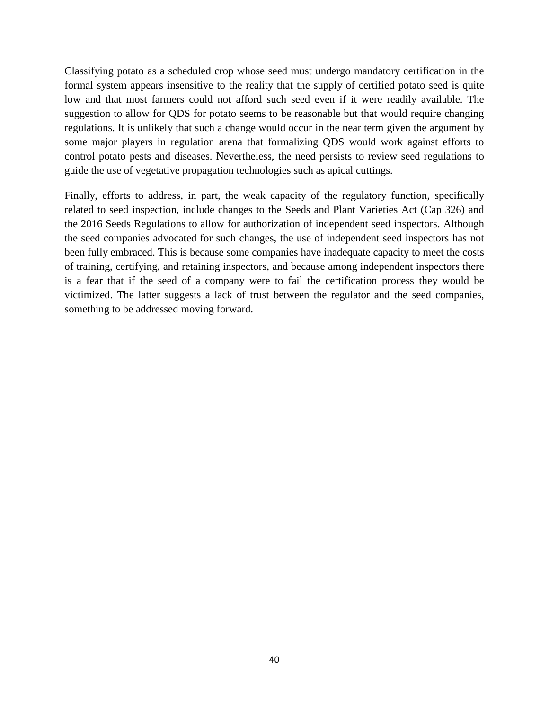Classifying potato as a scheduled crop whose seed must undergo mandatory certification in the formal system appears insensitive to the reality that the supply of certified potato seed is quite low and that most farmers could not afford such seed even if it were readily available. The suggestion to allow for QDS for potato seems to be reasonable but that would require changing regulations. It is unlikely that such a change would occur in the near term given the argument by some major players in regulation arena that formalizing QDS would work against efforts to control potato pests and diseases. Nevertheless, the need persists to review seed regulations to guide the use of vegetative propagation technologies such as apical cuttings.

Finally, efforts to address, in part, the weak capacity of the regulatory function, specifically related to seed inspection, include changes to the Seeds and Plant Varieties Act (Cap 326) and the 2016 Seeds Regulations to allow for authorization of independent seed inspectors. Although the seed companies advocated for such changes, the use of independent seed inspectors has not been fully embraced. This is because some companies have inadequate capacity to meet the costs of training, certifying, and retaining inspectors, and because among independent inspectors there is a fear that if the seed of a company were to fail the certification process they would be victimized. The latter suggests a lack of trust between the regulator and the seed companies, something to be addressed moving forward.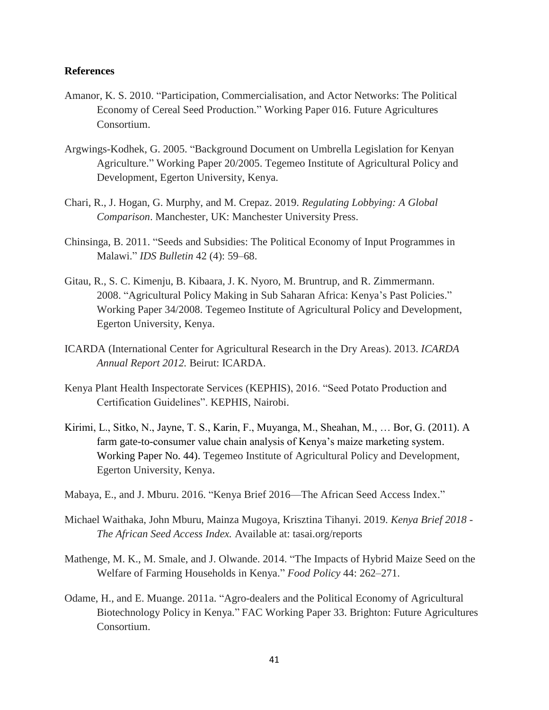#### <span id="page-48-0"></span>**References**

- Amanor, K. S. 2010. "Participation, Commercialisation, and Actor Networks: The Political Economy of Cereal Seed Production." Working Paper 016. Future Agricultures Consortium.
- Argwings-Kodhek, G. 2005. "Background Document on Umbrella Legislation for Kenyan Agriculture." Working Paper 20/2005. Tegemeo Institute of Agricultural Policy and Development, Egerton University, Kenya.
- Chari, R., J. Hogan, G. Murphy, and M. Crepaz. 2019. *Regulating Lobbying: A Global Comparison*. Manchester, UK: Manchester University Press.
- Chinsinga, B. 2011. "Seeds and Subsidies: The Political Economy of Input Programmes in Malawi." *IDS Bulletin* 42 (4): 59–68.
- Gitau, R., S. C. Kimenju, B. Kibaara, J. K. Nyoro, M. Bruntrup, and R. Zimmermann. 2008. "Agricultural Policy Making in Sub Saharan Africa: Kenya's Past Policies." Working Paper 34/2008. Tegemeo Institute of Agricultural Policy and Development, Egerton University, Kenya.
- ICARDA (International Center for Agricultural Research in the Dry Areas). 2013. *ICARDA Annual Report 2012.* Beirut: ICARDA.
- Kenya Plant Health Inspectorate Services (KEPHIS), 2016. "Seed Potato Production and Certification Guidelines". KEPHIS, Nairobi.
- Kirimi, L., Sitko, N., Jayne, T. S., Karin, F., Muyanga, M., Sheahan, M., … Bor, G. (2011). A farm gate-to-consumer value chain analysis of Kenya's maize marketing system. Working Paper No. 44). Tegemeo Institute of Agricultural Policy and Development, Egerton University, Kenya.
- Mabaya, E., and J. Mburu. 2016. "Kenya Brief 2016—The African Seed Access Index."
- Michael Waithaka, John Mburu, Mainza Mugoya, Krisztina Tihanyi. 2019. *Kenya Brief 2018 - The African Seed Access Index.* Available at: tasai.org/reports
- Mathenge, M. K., M. Smale, and J. Olwande. 2014. "The Impacts of Hybrid Maize Seed on the Welfare of Farming Households in Kenya." *Food Policy* 44: 262–271.
- Odame, H., and E. Muange. 2011a. "Agro-dealers and the Political Economy of Agricultural Biotechnology Policy in Kenya." FAC Working Paper 33. Brighton: Future Agricultures Consortium.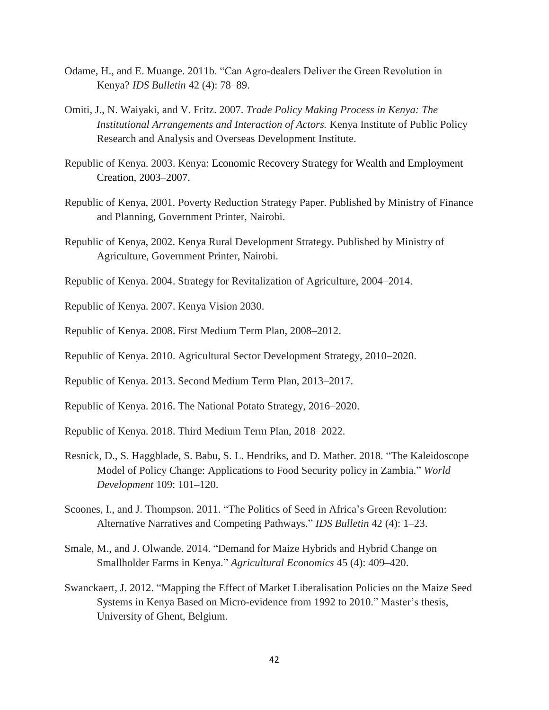- Odame, H., and E. Muange. 2011b. "Can Agro‐dealers Deliver the Green Revolution in Kenya? *IDS Bulletin* 42 (4): 78–89.
- Omiti, J., N. Waiyaki, and V. Fritz. 2007. *Trade Policy Making Process in Kenya: The Institutional Arrangements and Interaction of Actors.* Kenya Institute of Public Policy Research and Analysis and Overseas Development Institute.
- Republic of Kenya. 2003. Kenya: Economic Recovery Strategy for Wealth and Employment Creation, 2003–2007.
- Republic of Kenya, 2001. Poverty Reduction Strategy Paper. Published by Ministry of Finance and Planning, Government Printer, Nairobi.
- Republic of Kenya, 2002. Kenya Rural Development Strategy. Published by Ministry of Agriculture, Government Printer, Nairobi.
- Republic of Kenya. 2004. Strategy for Revitalization of Agriculture, 2004–2014.
- Republic of Kenya. 2007. Kenya Vision 2030.
- Republic of Kenya. 2008. First Medium Term Plan, 2008–2012.
- Republic of Kenya. 2010. Agricultural Sector Development Strategy, 2010–2020.
- Republic of Kenya. 2013. Second Medium Term Plan, 2013–2017.
- Republic of Kenya. 2016. The National Potato Strategy, 2016–2020.
- Republic of Kenya. 2018. Third Medium Term Plan, 2018–2022.
- Resnick, D., S. Haggblade, S. Babu, S. L. Hendriks, and D. Mather. 2018. "The Kaleidoscope Model of Policy Change: Applications to Food Security policy in Zambia." *World Development* 109: 101–120.
- Scoones, I., and J. Thompson. 2011. "The Politics of Seed in Africa's Green Revolution: Alternative Narratives and Competing Pathways." *IDS Bulletin* 42 (4): 1–23.
- Smale, M., and J. Olwande. 2014. "Demand for Maize Hybrids and Hybrid Change on Smallholder Farms in Kenya." *Agricultural Economics* 45 (4): 409–420.
- Swanckaert, J. 2012. "Mapping the Effect of Market Liberalisation Policies on the Maize Seed Systems in Kenya Based on Micro-evidence from 1992 to 2010." Master's thesis, University of Ghent, Belgium.